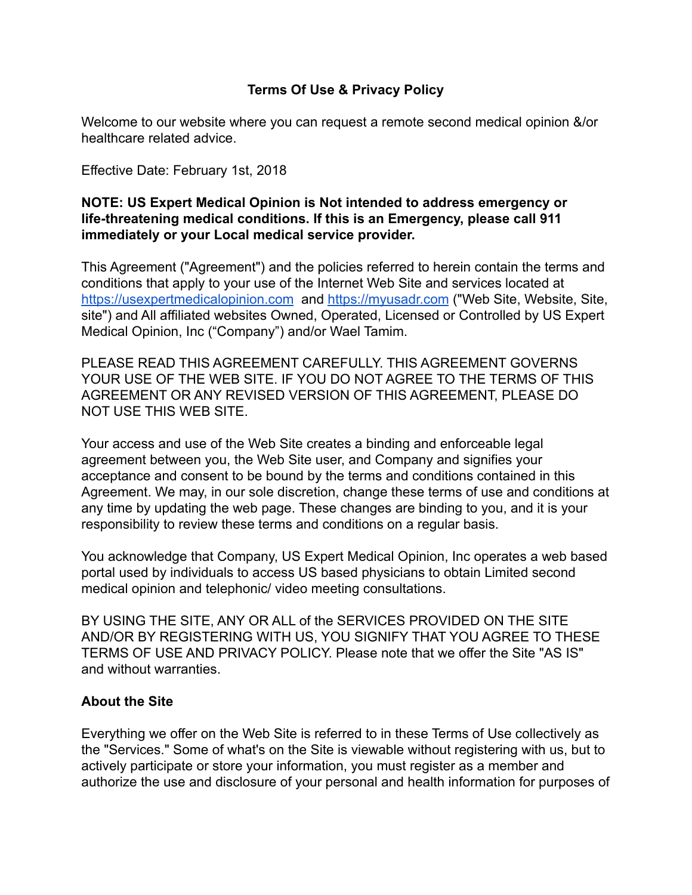### **Terms Of Use & Privacy Policy**

Welcome to our website where you can request a remote second medical opinion &/or healthcare related advice.

Effective Date: February 1st, 2018

#### **NOTE: US Expert Medical Opinion is Not intended to address emergency or life-threatening medical conditions. If this is an Emergency, please call 911 immediately or your Local medical service provider.**

This Agreement ("Agreement") and the policies referred to herein contain the terms and conditions that apply to your use of the Internet Web Site and services located at <https://usexpertmedicalopinion.com> and <https://myusadr.com> ("Web Site, Website, Site, site") and All affiliated websites Owned, Operated, Licensed or Controlled by US Expert Medical Opinion, Inc ("Company") and/or Wael Tamim.

PLEASE READ THIS AGREEMENT CAREFULLY. THIS AGREEMENT GOVERNS YOUR USE OF THE WEB SITE. IF YOU DO NOT AGREE TO THE TERMS OF THIS AGREEMENT OR ANY REVISED VERSION OF THIS AGREEMENT, PLEASE DO NOT USE THIS WEB SITE.

Your access and use of the Web Site creates a binding and enforceable legal agreement between you, the Web Site user, and Company and signifies your acceptance and consent to be bound by the terms and conditions contained in this Agreement. We may, in our sole discretion, change these terms of use and conditions at any time by updating the web page. These changes are binding to you, and it is your responsibility to review these terms and conditions on a regular basis.

You acknowledge that Company, US Expert Medical Opinion, Inc operates a web based portal used by individuals to access US based physicians to obtain Limited second medical opinion and telephonic/ video meeting consultations.

BY USING THE SITE, ANY OR ALL of the SERVICES PROVIDED ON THE SITE AND/OR BY REGISTERING WITH US, YOU SIGNIFY THAT YOU AGREE TO THESE TERMS OF USE AND PRIVACY POLICY. Please note that we offer the Site "AS IS" and without warranties.

#### **About the Site**

Everything we offer on the Web Site is referred to in these Terms of Use collectively as the "Services." Some of what's on the Site is viewable without registering with us, but to actively participate or store your information, you must register as a member and authorize the use and disclosure of your personal and health information for purposes of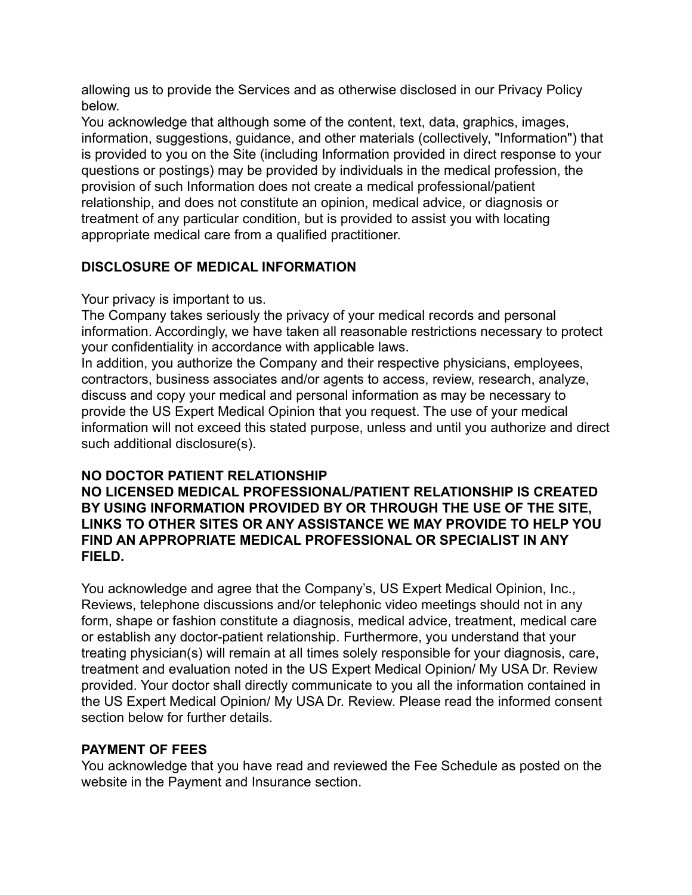allowing us to provide the Services and as otherwise disclosed in our Privacy Policy below.

You acknowledge that although some of the content, text, data, graphics, images, information, suggestions, guidance, and other materials (collectively, "Information") that is provided to you on the Site (including Information provided in direct response to your questions or postings) may be provided by individuals in the medical profession, the provision of such Information does not create a medical professional/patient relationship, and does not constitute an opinion, medical advice, or diagnosis or treatment of any particular condition, but is provided to assist you with locating appropriate medical care from a qualified practitioner.

## **DISCLOSURE OF MEDICAL INFORMATION**

Your privacy is important to us.

The Company takes seriously the privacy of your medical records and personal information. Accordingly, we have taken all reasonable restrictions necessary to protect your confidentiality in accordance with applicable laws.

In addition, you authorize the Company and their respective physicians, employees, contractors, business associates and/or agents to access, review, research, analyze, discuss and copy your medical and personal information as may be necessary to provide the US Expert Medical Opinion that you request. The use of your medical information will not exceed this stated purpose, unless and until you authorize and direct such additional disclosure(s).

# **NO DOCTOR PATIENT RELATIONSHIP**

### **NO LICENSED MEDICAL PROFESSIONAL/PATIENT RELATIONSHIP IS CREATED BY USING INFORMATION PROVIDED BY OR THROUGH THE USE OF THE SITE, LINKS TO OTHER SITES OR ANY ASSISTANCE WE MAY PROVIDE TO HELP YOU FIND AN APPROPRIATE MEDICAL PROFESSIONAL OR SPECIALIST IN ANY FIELD.**

You acknowledge and agree that the Company's, US Expert Medical Opinion, Inc., Reviews, telephone discussions and/or telephonic video meetings should not in any form, shape or fashion constitute a diagnosis, medical advice, treatment, medical care or establish any doctor-patient relationship. Furthermore, you understand that your treating physician(s) will remain at all times solely responsible for your diagnosis, care, treatment and evaluation noted in the US Expert Medical Opinion/ My USA Dr. Review provided. Your doctor shall directly communicate to you all the information contained in the US Expert Medical Opinion/ My USA Dr. Review. Please read the informed consent section below for further details.

# **PAYMENT OF FEES**

You acknowledge that you have read and reviewed the Fee Schedule as posted on the website in the Payment and Insurance section.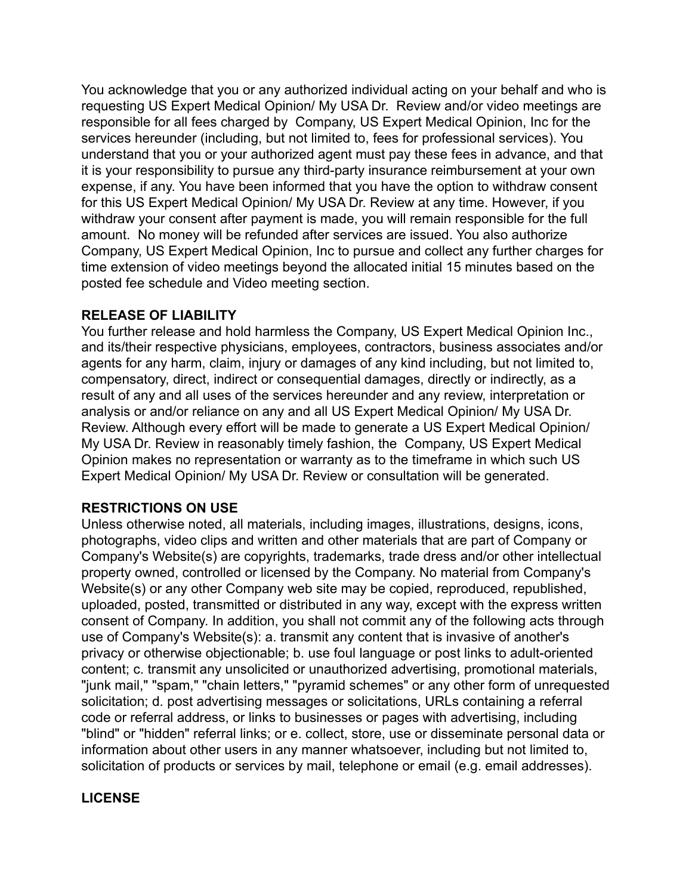You acknowledge that you or any authorized individual acting on your behalf and who is requesting US Expert Medical Opinion/ My USA Dr. Review and/or video meetings are responsible for all fees charged by Company, US Expert Medical Opinion, Inc for the services hereunder (including, but not limited to, fees for professional services). You understand that you or your authorized agent must pay these fees in advance, and that it is your responsibility to pursue any third-party insurance reimbursement at your own expense, if any. You have been informed that you have the option to withdraw consent for this US Expert Medical Opinion/ My USA Dr. Review at any time. However, if you withdraw your consent after payment is made, you will remain responsible for the full amount. No money will be refunded after services are issued. You also authorize Company, US Expert Medical Opinion, Inc to pursue and collect any further charges for time extension of video meetings beyond the allocated initial 15 minutes based on the posted fee schedule and Video meeting section.

### **RELEASE OF LIABILITY**

You further release and hold harmless the Company, US Expert Medical Opinion Inc., and its/their respective physicians, employees, contractors, business associates and/or agents for any harm, claim, injury or damages of any kind including, but not limited to, compensatory, direct, indirect or consequential damages, directly or indirectly, as a result of any and all uses of the services hereunder and any review, interpretation or analysis or and/or reliance on any and all US Expert Medical Opinion/ My USA Dr. Review. Although every effort will be made to generate a US Expert Medical Opinion/ My USA Dr. Review in reasonably timely fashion, the Company, US Expert Medical Opinion makes no representation or warranty as to the timeframe in which such US Expert Medical Opinion/ My USA Dr. Review or consultation will be generated.

## **RESTRICTIONS ON USE**

Unless otherwise noted, all materials, including images, illustrations, designs, icons, photographs, video clips and written and other materials that are part of Company or Company's Website(s) are copyrights, trademarks, trade dress and/or other intellectual property owned, controlled or licensed by the Company. No material from Company's Website(s) or any other Company web site may be copied, reproduced, republished, uploaded, posted, transmitted or distributed in any way, except with the express written consent of Company. In addition, you shall not commit any of the following acts through use of Company's Website(s): a. transmit any content that is invasive of another's privacy or otherwise objectionable; b. use foul language or post links to adult-oriented content; c. transmit any unsolicited or unauthorized advertising, promotional materials, "junk mail," "spam," "chain letters," "pyramid schemes" or any other form of unrequested solicitation; d. post advertising messages or solicitations, URLs containing a referral code or referral address, or links to businesses or pages with advertising, including "blind" or "hidden" referral links; or e. collect, store, use or disseminate personal data or information about other users in any manner whatsoever, including but not limited to, solicitation of products or services by mail, telephone or email (e.g. email addresses).

## **LICENSE**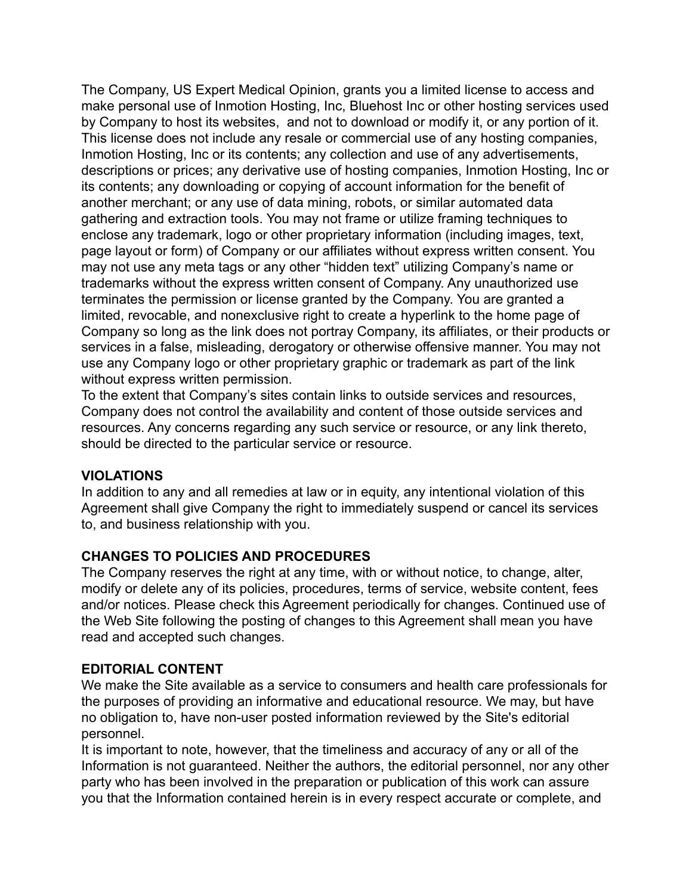The Company, US Expert Medical Opinion, grants you a limited license to access and make personal use of Inmotion Hosting, Inc, Bluehost Inc or other hosting services used by Company to host its websites, and not to download or modify it, or any portion of it. This license does not include any resale or commercial use of any hosting companies, Inmotion Hosting, Inc or its contents; any collection and use of any advertisements, descriptions or prices; any derivative use of hosting companies, Inmotion Hosting, Inc or its contents; any downloading or copying of account information for the benefit of another merchant; or any use of data mining, robots, or similar automated data gathering and extraction tools. You may not frame or utilize framing techniques to enclose any trademark, logo or other proprietary information (including images, text, page layout or form) of Company or our affiliates without express written consent. You may not use any meta tags or any other "hidden text" utilizing Company's name or trademarks without the express written consent of Company. Any unauthorized use terminates the permission or license granted by the Company. You are granted a limited, revocable, and nonexclusive right to create a hyperlink to the home page of Company so long as the link does not portray Company, its affiliates, or their products or services in a false, misleading, derogatory or otherwise offensive manner. You may not use any Company logo or other proprietary graphic or trademark as part of the link without express written permission.

To the extent that Company's sites contain links to outside services and resources, Company does not control the availability and content of those outside services and resources. Any concerns regarding any such service or resource, or any link thereto, should be directed to the particular service or resource.

#### **VIOLATIONS**

In addition to any and all remedies at law or in equity, any intentional violation of this Agreement shall give Company the right to immediately suspend or cancel its services to, and business relationship with you.

## **CHANGES TO POLICIES AND PROCEDURES**

The Company reserves the right at any time, with or without notice, to change, alter, modify or delete any of its policies, procedures, terms of service, website content, fees and/or notices. Please check this Agreement periodically for changes. Continued use of the Web Site following the posting of changes to this Agreement shall mean you have read and accepted such changes.

#### **EDITORIAL CONTENT**

We make the Site available as a service to consumers and health care professionals for the purposes of providing an informative and educational resource. We may, but have no obligation to, have non-user posted information reviewed by the Site's editorial personnel.

It is important to note, however, that the timeliness and accuracy of any or all of the Information is not guaranteed. Neither the authors, the editorial personnel, nor any other party who has been involved in the preparation or publication of this work can assure you that the Information contained herein is in every respect accurate or complete, and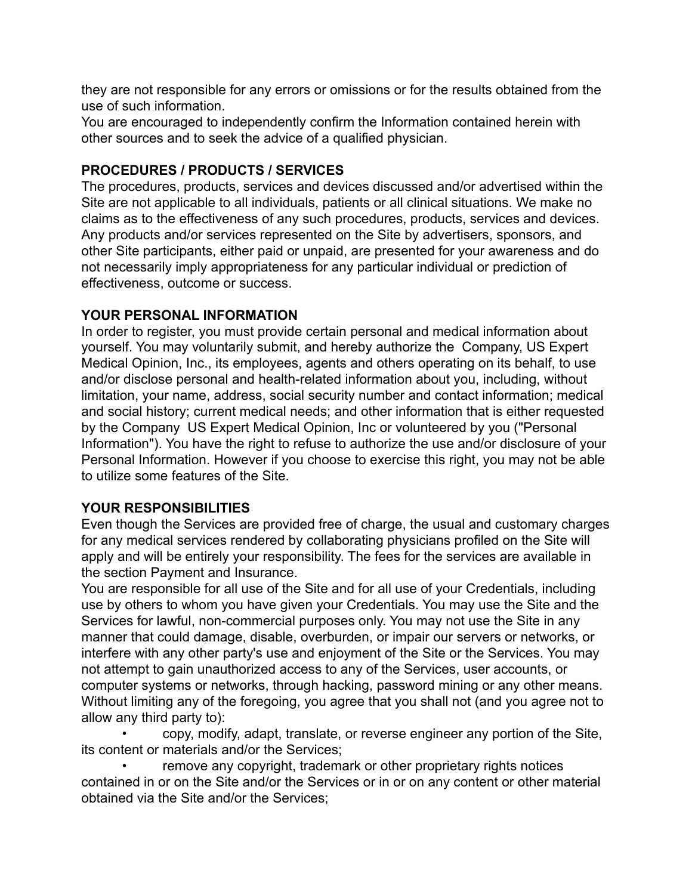they are not responsible for any errors or omissions or for the results obtained from the use of such information.

You are encouraged to independently confirm the Information contained herein with other sources and to seek the advice of a qualified physician.

## **PROCEDURES / PRODUCTS / SERVICES**

The procedures, products, services and devices discussed and/or advertised within the Site are not applicable to all individuals, patients or all clinical situations. We make no claims as to the effectiveness of any such procedures, products, services and devices. Any products and/or services represented on the Site by advertisers, sponsors, and other Site participants, either paid or unpaid, are presented for your awareness and do not necessarily imply appropriateness for any particular individual or prediction of effectiveness, outcome or success.

## **YOUR PERSONAL INFORMATION**

In order to register, you must provide certain personal and medical information about yourself. You may voluntarily submit, and hereby authorize the Company, US Expert Medical Opinion, Inc., its employees, agents and others operating on its behalf, to use and/or disclose personal and health-related information about you, including, without limitation, your name, address, social security number and contact information; medical and social history; current medical needs; and other information that is either requested by the Company US Expert Medical Opinion, Inc or volunteered by you ("Personal Information"). You have the right to refuse to authorize the use and/or disclosure of your Personal Information. However if you choose to exercise this right, you may not be able to utilize some features of the Site.

# **YOUR RESPONSIBILITIES**

Even though the Services are provided free of charge, the usual and customary charges for any medical services rendered by collaborating physicians profiled on the Site will apply and will be entirely your responsibility. The fees for the services are available in the section Payment and Insurance.

You are responsible for all use of the Site and for all use of your Credentials, including use by others to whom you have given your Credentials. You may use the Site and the Services for lawful, non-commercial purposes only. You may not use the Site in any manner that could damage, disable, overburden, or impair our servers or networks, or interfere with any other party's use and enjoyment of the Site or the Services. You may not attempt to gain unauthorized access to any of the Services, user accounts, or computer systems or networks, through hacking, password mining or any other means. Without limiting any of the foregoing, you agree that you shall not (and you agree not to allow any third party to):

• copy, modify, adapt, translate, or reverse engineer any portion of the Site, its content or materials and/or the Services;

remove any copyright, trademark or other proprietary rights notices contained in or on the Site and/or the Services or in or on any content or other material obtained via the Site and/or the Services;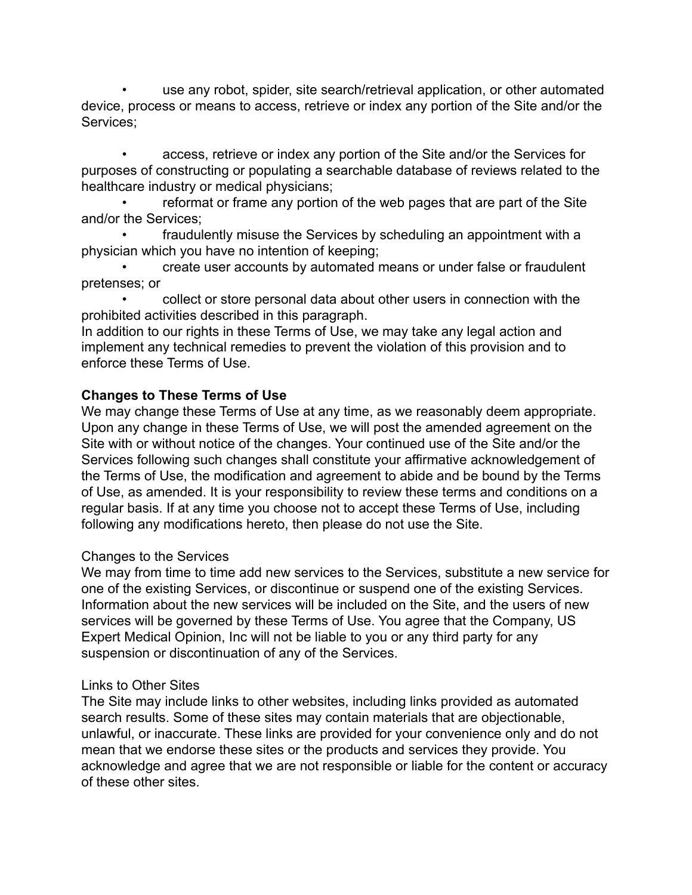• use any robot, spider, site search/retrieval application, or other automated device, process or means to access, retrieve or index any portion of the Site and/or the Services;

• access, retrieve or index any portion of the Site and/or the Services for purposes of constructing or populating a searchable database of reviews related to the healthcare industry or medical physicians;

• reformat or frame any portion of the web pages that are part of the Site and/or the Services;

• fraudulently misuse the Services by scheduling an appointment with a physician which you have no intention of keeping;

• create user accounts by automated means or under false or fraudulent pretenses; or

• collect or store personal data about other users in connection with the prohibited activities described in this paragraph.

In addition to our rights in these Terms of Use, we may take any legal action and implement any technical remedies to prevent the violation of this provision and to enforce these Terms of Use.

## **Changes to These Terms of Use**

We may change these Terms of Use at any time, as we reasonably deem appropriate. Upon any change in these Terms of Use, we will post the amended agreement on the Site with or without notice of the changes. Your continued use of the Site and/or the Services following such changes shall constitute your affirmative acknowledgement of the Terms of Use, the modification and agreement to abide and be bound by the Terms of Use, as amended. It is your responsibility to review these terms and conditions on a regular basis. If at any time you choose not to accept these Terms of Use, including following any modifications hereto, then please do not use the Site.

#### Changes to the Services

We may from time to time add new services to the Services, substitute a new service for one of the existing Services, or discontinue or suspend one of the existing Services. Information about the new services will be included on the Site, and the users of new services will be governed by these Terms of Use. You agree that the Company, US Expert Medical Opinion, Inc will not be liable to you or any third party for any suspension or discontinuation of any of the Services.

#### Links to Other Sites

The Site may include links to other websites, including links provided as automated search results. Some of these sites may contain materials that are objectionable, unlawful, or inaccurate. These links are provided for your convenience only and do not mean that we endorse these sites or the products and services they provide. You acknowledge and agree that we are not responsible or liable for the content or accuracy of these other sites.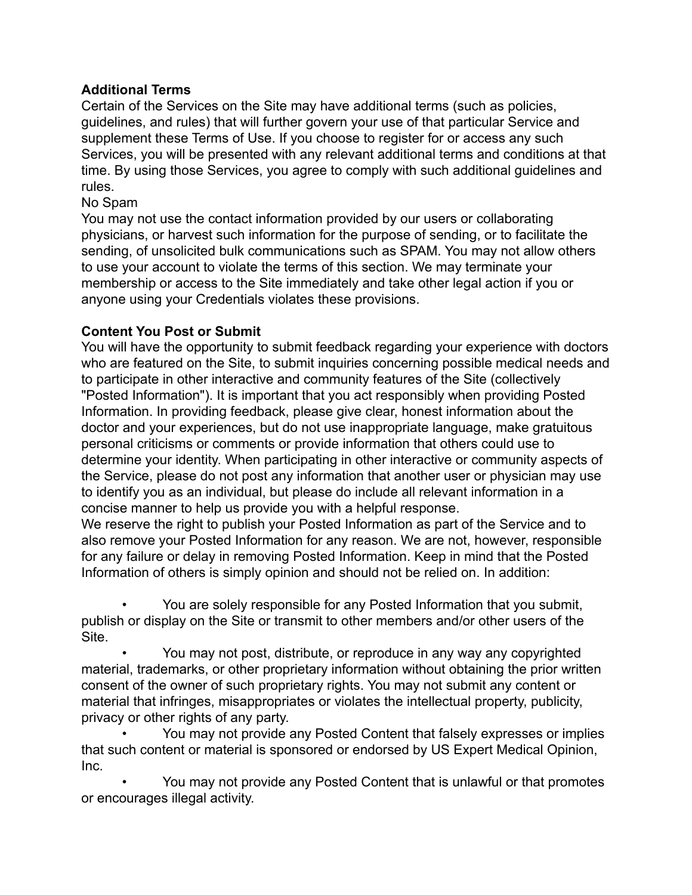## **Additional Terms**

Certain of the Services on the Site may have additional terms (such as policies, guidelines, and rules) that will further govern your use of that particular Service and supplement these Terms of Use. If you choose to register for or access any such Services, you will be presented with any relevant additional terms and conditions at that time. By using those Services, you agree to comply with such additional guidelines and rules.

## No Spam

You may not use the contact information provided by our users or collaborating physicians, or harvest such information for the purpose of sending, or to facilitate the sending, of unsolicited bulk communications such as SPAM. You may not allow others to use your account to violate the terms of this section. We may terminate your membership or access to the Site immediately and take other legal action if you or anyone using your Credentials violates these provisions.

## **Content You Post or Submit**

You will have the opportunity to submit feedback regarding your experience with doctors who are featured on the Site, to submit inquiries concerning possible medical needs and to participate in other interactive and community features of the Site (collectively "Posted Information"). It is important that you act responsibly when providing Posted Information. In providing feedback, please give clear, honest information about the doctor and your experiences, but do not use inappropriate language, make gratuitous personal criticisms or comments or provide information that others could use to determine your identity. When participating in other interactive or community aspects of the Service, please do not post any information that another user or physician may use to identify you as an individual, but please do include all relevant information in a concise manner to help us provide you with a helpful response.

We reserve the right to publish your Posted Information as part of the Service and to also remove your Posted Information for any reason. We are not, however, responsible for any failure or delay in removing Posted Information. Keep in mind that the Posted Information of others is simply opinion and should not be relied on. In addition:

• You are solely responsible for any Posted Information that you submit, publish or display on the Site or transmit to other members and/or other users of the Site.

• You may not post, distribute, or reproduce in any way any copyrighted material, trademarks, or other proprietary information without obtaining the prior written consent of the owner of such proprietary rights. You may not submit any content or material that infringes, misappropriates or violates the intellectual property, publicity, privacy or other rights of any party.

• You may not provide any Posted Content that falsely expresses or implies that such content or material is sponsored or endorsed by US Expert Medical Opinion, Inc.

• You may not provide any Posted Content that is unlawful or that promotes or encourages illegal activity.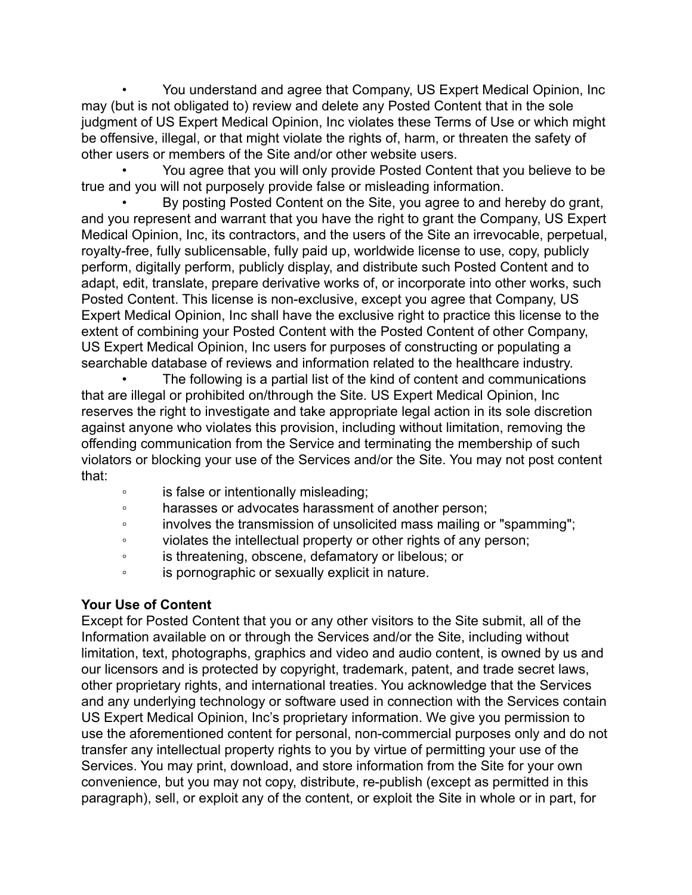• You understand and agree that Company, US Expert Medical Opinion, Inc may (but is not obligated to) review and delete any Posted Content that in the sole judgment of US Expert Medical Opinion, Inc violates these Terms of Use or which might be offensive, illegal, or that might violate the rights of, harm, or threaten the safety of other users or members of the Site and/or other website users.

• You agree that you will only provide Posted Content that you believe to be true and you will not purposely provide false or misleading information.

• By posting Posted Content on the Site, you agree to and hereby do grant, and you represent and warrant that you have the right to grant the Company, US Expert Medical Opinion, Inc, its contractors, and the users of the Site an irrevocable, perpetual, royalty-free, fully sublicensable, fully paid up, worldwide license to use, copy, publicly perform, digitally perform, publicly display, and distribute such Posted Content and to adapt, edit, translate, prepare derivative works of, or incorporate into other works, such Posted Content. This license is non-exclusive, except you agree that Company, US Expert Medical Opinion, Inc shall have the exclusive right to practice this license to the extent of combining your Posted Content with the Posted Content of other Company, US Expert Medical Opinion, Inc users for purposes of constructing or populating a searchable database of reviews and information related to the healthcare industry.

The following is a partial list of the kind of content and communications that are illegal or prohibited on/through the Site. US Expert Medical Opinion, Inc reserves the right to investigate and take appropriate legal action in its sole discretion against anyone who violates this provision, including without limitation, removing the offending communication from the Service and terminating the membership of such violators or blocking your use of the Services and/or the Site. You may not post content that:

- is false or intentionally misleading;
- harasses or advocates harassment of another person;
- involves the transmission of unsolicited mass mailing or "spamming";
- violates the intellectual property or other rights of any person;
- is threatening, obscene, defamatory or libelous; or
- is pornographic or sexually explicit in nature.

## **Your Use of Content**

Except for Posted Content that you or any other visitors to the Site submit, all of the Information available on or through the Services and/or the Site, including without limitation, text, photographs, graphics and video and audio content, is owned by us and our licensors and is protected by copyright, trademark, patent, and trade secret laws, other proprietary rights, and international treaties. You acknowledge that the Services and any underlying technology or software used in connection with the Services contain US Expert Medical Opinion, Inc's proprietary information. We give you permission to use the aforementioned content for personal, non-commercial purposes only and do not transfer any intellectual property rights to you by virtue of permitting your use of the Services. You may print, download, and store information from the Site for your own convenience, but you may not copy, distribute, re-publish (except as permitted in this paragraph), sell, or exploit any of the content, or exploit the Site in whole or in part, for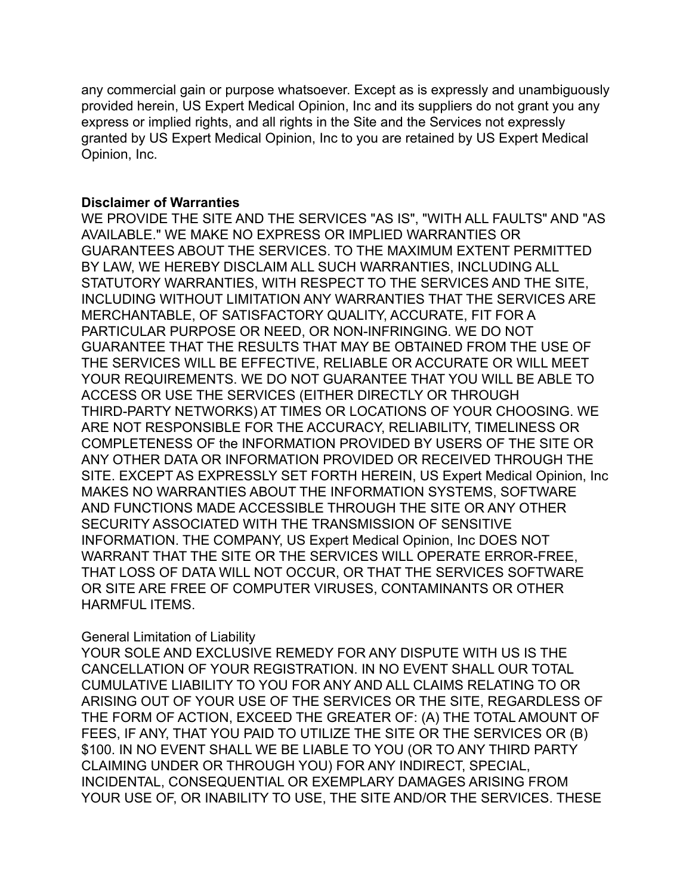any commercial gain or purpose whatsoever. Except as is expressly and unambiguously provided herein, US Expert Medical Opinion, Inc and its suppliers do not grant you any express or implied rights, and all rights in the Site and the Services not expressly granted by US Expert Medical Opinion, Inc to you are retained by US Expert Medical Opinion, Inc.

#### **Disclaimer of Warranties**

WE PROVIDE THE SITE AND THE SERVICES "AS IS", "WITH ALL FAULTS" AND "AS AVAILABLE." WE MAKE NO EXPRESS OR IMPLIED WARRANTIES OR GUARANTEES ABOUT THE SERVICES. TO THE MAXIMUM EXTENT PERMITTED BY LAW, WE HEREBY DISCLAIM ALL SUCH WARRANTIES, INCLUDING ALL STATUTORY WARRANTIES, WITH RESPECT TO THE SERVICES AND THE SITE, INCLUDING WITHOUT LIMITATION ANY WARRANTIES THAT THE SERVICES ARE MERCHANTABLE, OF SATISFACTORY QUALITY, ACCURATE, FIT FOR A PARTICULAR PURPOSE OR NEED, OR NON-INFRINGING. WE DO NOT GUARANTEE THAT THE RESULTS THAT MAY BE OBTAINED FROM THE USE OF THE SERVICES WILL BE EFFECTIVE, RELIABLE OR ACCURATE OR WILL MEET YOUR REQUIREMENTS. WE DO NOT GUARANTEE THAT YOU WILL BE ABLE TO ACCESS OR USE THE SERVICES (EITHER DIRECTLY OR THROUGH THIRD-PARTY NETWORKS) AT TIMES OR LOCATIONS OF YOUR CHOOSING. WE ARE NOT RESPONSIBLE FOR THE ACCURACY, RELIABILITY, TIMELINESS OR COMPLETENESS OF the INFORMATION PROVIDED BY USERS OF THE SITE OR ANY OTHER DATA OR INFORMATION PROVIDED OR RECEIVED THROUGH THE SITE. EXCEPT AS EXPRESSLY SET FORTH HEREIN, US Expert Medical Opinion, Inc MAKES NO WARRANTIES ABOUT THE INFORMATION SYSTEMS, SOFTWARE AND FUNCTIONS MADE ACCESSIBLE THROUGH THE SITE OR ANY OTHER SECURITY ASSOCIATED WITH THE TRANSMISSION OF SENSITIVE INFORMATION. THE COMPANY, US Expert Medical Opinion, Inc DOES NOT WARRANT THAT THE SITE OR THE SERVICES WILL OPERATE ERROR-FREE, THAT LOSS OF DATA WILL NOT OCCUR, OR THAT THE SERVICES SOFTWARE OR SITE ARE FREE OF COMPUTER VIRUSES, CONTAMINANTS OR OTHER HARMFUL ITEMS.

#### General Limitation of Liability

YOUR SOLE AND EXCLUSIVE REMEDY FOR ANY DISPUTE WITH US IS THE CANCELLATION OF YOUR REGISTRATION. IN NO EVENT SHALL OUR TOTAL CUMULATIVE LIABILITY TO YOU FOR ANY AND ALL CLAIMS RELATING TO OR ARISING OUT OF YOUR USE OF THE SERVICES OR THE SITE, REGARDLESS OF THE FORM OF ACTION, EXCEED THE GREATER OF: (A) THE TOTAL AMOUNT OF FEES, IF ANY, THAT YOU PAID TO UTILIZE THE SITE OR THE SERVICES OR (B) \$100. IN NO EVENT SHALL WE BE LIABLE TO YOU (OR TO ANY THIRD PARTY CLAIMING UNDER OR THROUGH YOU) FOR ANY INDIRECT, SPECIAL, INCIDENTAL, CONSEQUENTIAL OR EXEMPLARY DAMAGES ARISING FROM YOUR USE OF, OR INABILITY TO USE, THE SITE AND/OR THE SERVICES. THESE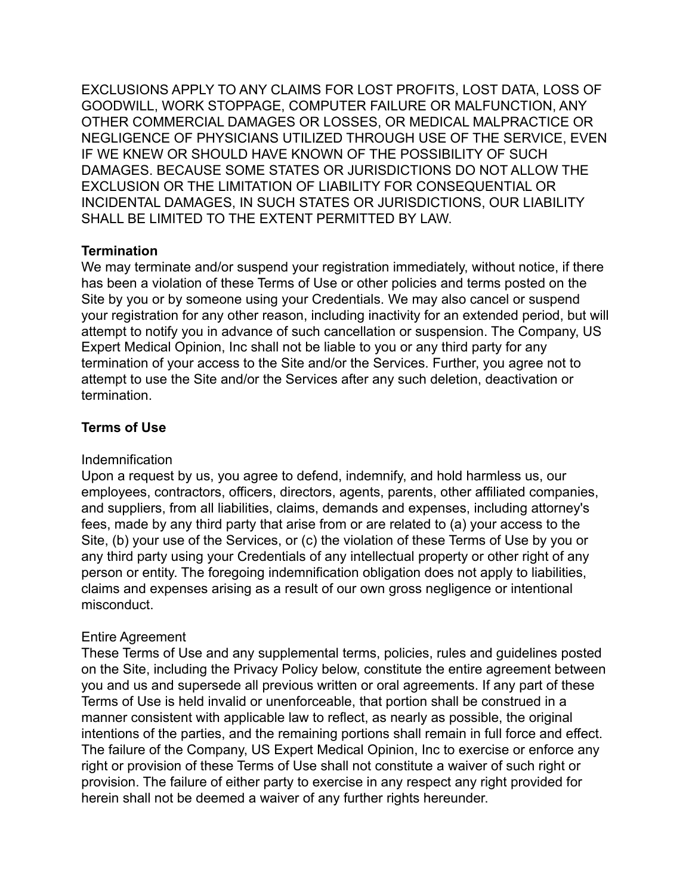EXCLUSIONS APPLY TO ANY CLAIMS FOR LOST PROFITS, LOST DATA, LOSS OF GOODWILL, WORK STOPPAGE, COMPUTER FAILURE OR MALFUNCTION, ANY OTHER COMMERCIAL DAMAGES OR LOSSES, OR MEDICAL MALPRACTICE OR NEGLIGENCE OF PHYSICIANS UTILIZED THROUGH USE OF THE SERVICE, EVEN IF WE KNEW OR SHOULD HAVE KNOWN OF THE POSSIBILITY OF SUCH DAMAGES. BECAUSE SOME STATES OR JURISDICTIONS DO NOT ALLOW THE EXCLUSION OR THE LIMITATION OF LIABILITY FOR CONSEQUENTIAL OR INCIDENTAL DAMAGES, IN SUCH STATES OR JURISDICTIONS, OUR LIABILITY SHALL BE LIMITED TO THE EXTENT PERMITTED BY LAW.

### **Termination**

We may terminate and/or suspend your registration immediately, without notice, if there has been a violation of these Terms of Use or other policies and terms posted on the Site by you or by someone using your Credentials. We may also cancel or suspend your registration for any other reason, including inactivity for an extended period, but will attempt to notify you in advance of such cancellation or suspension. The Company, US Expert Medical Opinion, Inc shall not be liable to you or any third party for any termination of your access to the Site and/or the Services. Further, you agree not to attempt to use the Site and/or the Services after any such deletion, deactivation or termination.

## **Terms of Use**

#### Indemnification

Upon a request by us, you agree to defend, indemnify, and hold harmless us, our employees, contractors, officers, directors, agents, parents, other affiliated companies, and suppliers, from all liabilities, claims, demands and expenses, including attorney's fees, made by any third party that arise from or are related to (a) your access to the Site, (b) your use of the Services, or (c) the violation of these Terms of Use by you or any third party using your Credentials of any intellectual property or other right of any person or entity. The foregoing indemnification obligation does not apply to liabilities, claims and expenses arising as a result of our own gross negligence or intentional misconduct.

#### Entire Agreement

These Terms of Use and any supplemental terms, policies, rules and guidelines posted on the Site, including the Privacy Policy below, constitute the entire agreement between you and us and supersede all previous written or oral agreements. If any part of these Terms of Use is held invalid or unenforceable, that portion shall be construed in a manner consistent with applicable law to reflect, as nearly as possible, the original intentions of the parties, and the remaining portions shall remain in full force and effect. The failure of the Company, US Expert Medical Opinion, Inc to exercise or enforce any right or provision of these Terms of Use shall not constitute a waiver of such right or provision. The failure of either party to exercise in any respect any right provided for herein shall not be deemed a waiver of any further rights hereunder.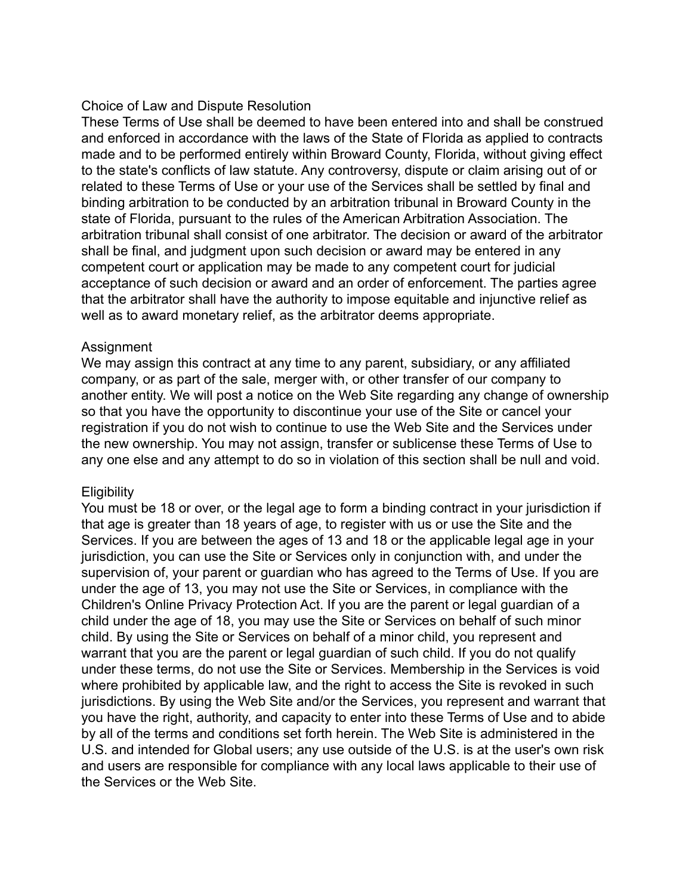#### Choice of Law and Dispute Resolution

These Terms of Use shall be deemed to have been entered into and shall be construed and enforced in accordance with the laws of the State of Florida as applied to contracts made and to be performed entirely within Broward County, Florida, without giving effect to the state's conflicts of law statute. Any controversy, dispute or claim arising out of or related to these Terms of Use or your use of the Services shall be settled by final and binding arbitration to be conducted by an arbitration tribunal in Broward County in the state of Florida, pursuant to the rules of the American Arbitration Association. The arbitration tribunal shall consist of one arbitrator. The decision or award of the arbitrator shall be final, and judgment upon such decision or award may be entered in any competent court or application may be made to any competent court for judicial acceptance of such decision or award and an order of enforcement. The parties agree that the arbitrator shall have the authority to impose equitable and injunctive relief as well as to award monetary relief, as the arbitrator deems appropriate.

#### Assignment

We may assign this contract at any time to any parent, subsidiary, or any affiliated company, or as part of the sale, merger with, or other transfer of our company to another entity. We will post a notice on the Web Site regarding any change of ownership so that you have the opportunity to discontinue your use of the Site or cancel your registration if you do not wish to continue to use the Web Site and the Services under the new ownership. You may not assign, transfer or sublicense these Terms of Use to any one else and any attempt to do so in violation of this section shall be null and void.

## **Eligibility**

You must be 18 or over, or the legal age to form a binding contract in your jurisdiction if that age is greater than 18 years of age, to register with us or use the Site and the Services. If you are between the ages of 13 and 18 or the applicable legal age in your jurisdiction, you can use the Site or Services only in conjunction with, and under the supervision of, your parent or guardian who has agreed to the Terms of Use. If you are under the age of 13, you may not use the Site or Services, in compliance with the Children's Online Privacy Protection Act. If you are the parent or legal guardian of a child under the age of 18, you may use the Site or Services on behalf of such minor child. By using the Site or Services on behalf of a minor child, you represent and warrant that you are the parent or legal guardian of such child. If you do not qualify under these terms, do not use the Site or Services. Membership in the Services is void where prohibited by applicable law, and the right to access the Site is revoked in such jurisdictions. By using the Web Site and/or the Services, you represent and warrant that you have the right, authority, and capacity to enter into these Terms of Use and to abide by all of the terms and conditions set forth herein. The Web Site is administered in the U.S. and intended for Global users; any use outside of the U.S. is at the user's own risk and users are responsible for compliance with any local laws applicable to their use of the Services or the Web Site.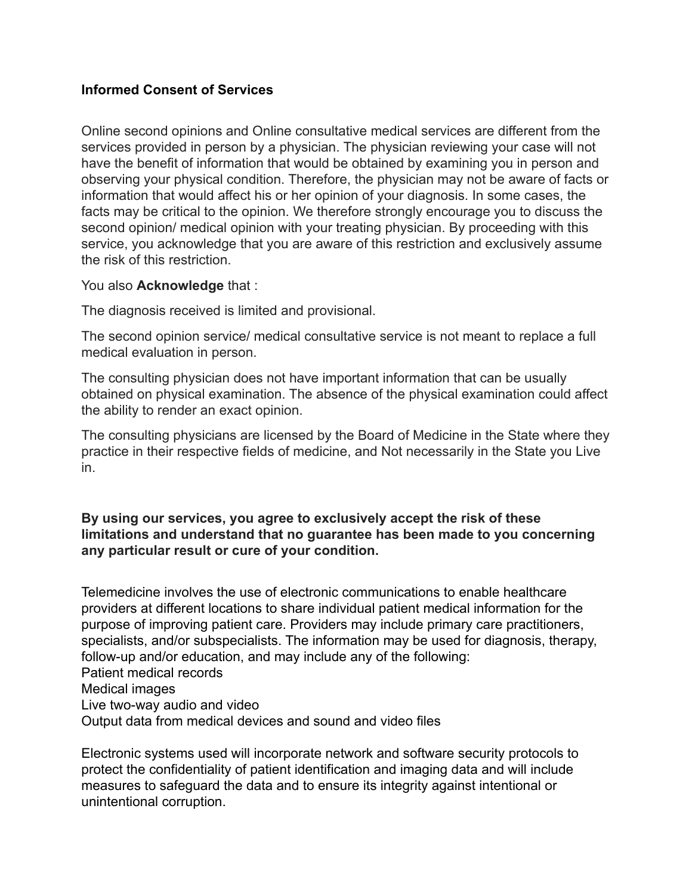#### **Informed Consent of Services**

Online second opinions and Online consultative medical services are different from the services provided in person by a physician. The physician reviewing your case will not have the benefit of information that would be obtained by examining you in person and observing your physical condition. Therefore, the physician may not be aware of facts or information that would affect his or her opinion of your diagnosis. In some cases, the facts may be critical to the opinion. We therefore strongly encourage you to discuss the second opinion/ medical opinion with your treating physician. By proceeding with this service, you acknowledge that you are aware of this restriction and exclusively assume the risk of this restriction.

#### You also **Acknowledge** that :

The diagnosis received is limited and provisional.

The second opinion service/ medical consultative service is not meant to replace a full medical evaluation in person.

The consulting physician does not have important information that can be usually obtained on physical examination. The absence of the physical examination could affect the ability to render an exact opinion.

The consulting physicians are licensed by the Board of Medicine in the State where they practice in their respective fields of medicine, and Not necessarily in the State you Live in.

#### **By using our services, you agree to exclusively accept the risk of these limitations and understand that no guarantee has been made to you concerning any particular result or cure of your condition.**

Telemedicine involves the use of electronic communications to enable healthcare providers at different locations to share individual patient medical information for the purpose of improving patient care. Providers may include primary care practitioners, specialists, and/or subspecialists. The information may be used for diagnosis, therapy, follow-up and/or education, and may include any of the following: Patient medical records Medical images Live two-way audio and video Output data from medical devices and sound and video files

Electronic systems used will incorporate network and software security protocols to protect the confidentiality of patient identification and imaging data and will include measures to safeguard the data and to ensure its integrity against intentional or unintentional corruption.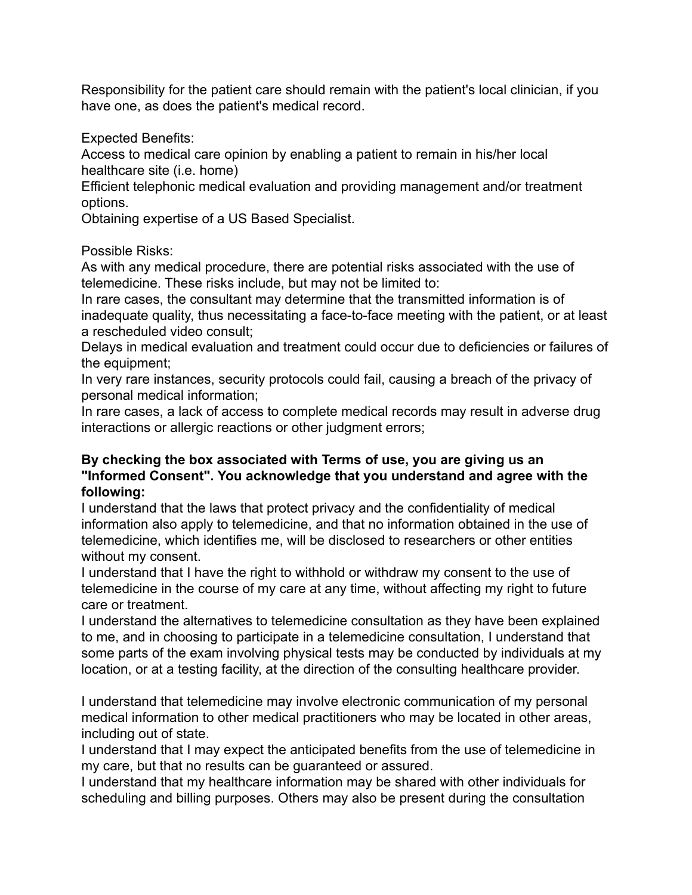Responsibility for the patient care should remain with the patient's local clinician, if you have one, as does the patient's medical record.

Expected Benefits:

Access to medical care opinion by enabling a patient to remain in his/her local healthcare site (i.e. home)

Efficient telephonic medical evaluation and providing management and/or treatment options.

Obtaining expertise of a US Based Specialist.

### Possible Risks:

As with any medical procedure, there are potential risks associated with the use of telemedicine. These risks include, but may not be limited to:

In rare cases, the consultant may determine that the transmitted information is of inadequate quality, thus necessitating a face-to-face meeting with the patient, or at least a rescheduled video consult;

Delays in medical evaluation and treatment could occur due to deficiencies or failures of the equipment;

In very rare instances, security protocols could fail, causing a breach of the privacy of personal medical information;

In rare cases, a lack of access to complete medical records may result in adverse drug interactions or allergic reactions or other judgment errors;

### **By checking the box associated with Terms of use, you are giving us an "Informed Consent". You acknowledge that you understand and agree with the following:**

I understand that the laws that protect privacy and the confidentiality of medical information also apply to telemedicine, and that no information obtained in the use of telemedicine, which identifies me, will be disclosed to researchers or other entities without my consent.

I understand that I have the right to withhold or withdraw my consent to the use of telemedicine in the course of my care at any time, without affecting my right to future care or treatment.

I understand the alternatives to telemedicine consultation as they have been explained to me, and in choosing to participate in a telemedicine consultation, I understand that some parts of the exam involving physical tests may be conducted by individuals at my location, or at a testing facility, at the direction of the consulting healthcare provider.

I understand that telemedicine may involve electronic communication of my personal medical information to other medical practitioners who may be located in other areas, including out of state.

I understand that I may expect the anticipated benefits from the use of telemedicine in my care, but that no results can be guaranteed or assured.

I understand that my healthcare information may be shared with other individuals for scheduling and billing purposes. Others may also be present during the consultation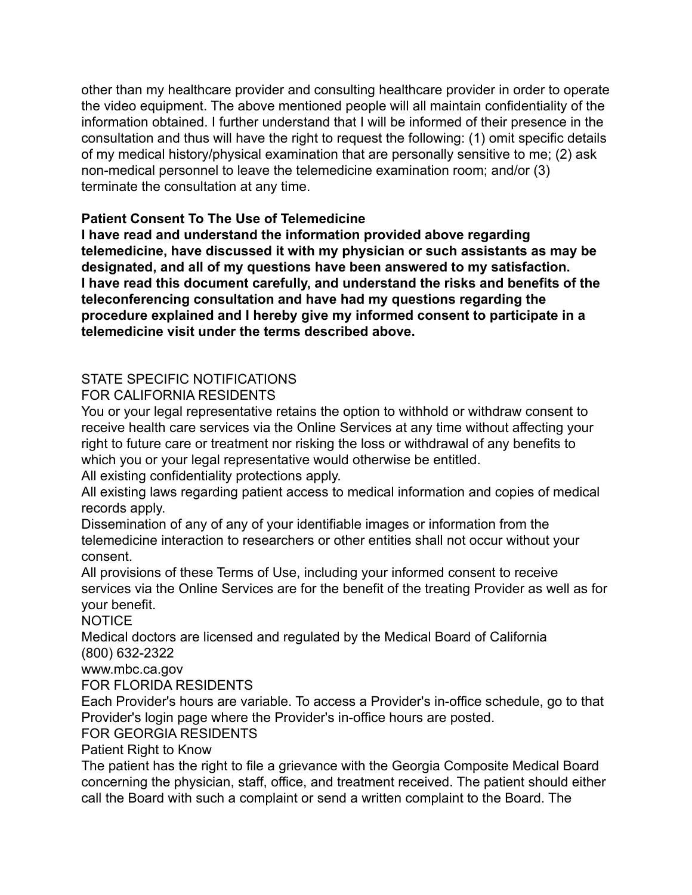other than my healthcare provider and consulting healthcare provider in order to operate the video equipment. The above mentioned people will all maintain confidentiality of the information obtained. I further understand that I will be informed of their presence in the consultation and thus will have the right to request the following: (1) omit specific details of my medical history/physical examination that are personally sensitive to me; (2) ask non-medical personnel to leave the telemedicine examination room; and/or (3) terminate the consultation at any time.

## **Patient Consent To The Use of Telemedicine**

**I have read and understand the information provided above regarding telemedicine, have discussed it with my physician or such assistants as may be designated, and all of my questions have been answered to my satisfaction. I have read this document carefully, and understand the risks and benefits of the teleconferencing consultation and have had my questions regarding the procedure explained and I hereby give my informed consent to participate in a telemedicine visit under the terms described above.**

# STATE SPECIFIC NOTIFICATIONS

FOR CALIFORNIA RESIDENTS

You or your legal representative retains the option to withhold or withdraw consent to receive health care services via the Online Services at any time without affecting your right to future care or treatment nor risking the loss or withdrawal of any benefits to which you or your legal representative would otherwise be entitled.

All existing confidentiality protections apply.

All existing laws regarding patient access to medical information and copies of medical records apply.

Dissemination of any of any of your identifiable images or information from the telemedicine interaction to researchers or other entities shall not occur without your consent.

All provisions of these Terms of Use, including your informed consent to receive services via the Online Services are for the benefit of the treating Provider as well as for your benefit.

NOTICE

Medical doctors are licensed and regulated by the Medical Board of California (800) 632-2322

www.mbc.ca.gov

FOR FLORIDA RESIDENTS

Each Provider's hours are variable. To access a Provider's in-office schedule, go to that Provider's login page where the Provider's in-office hours are posted.

FOR GEORGIA RESIDENTS

Patient Right to Know

The patient has the right to file a grievance with the Georgia Composite Medical Board concerning the physician, staff, office, and treatment received. The patient should either call the Board with such a complaint or send a written complaint to the Board. The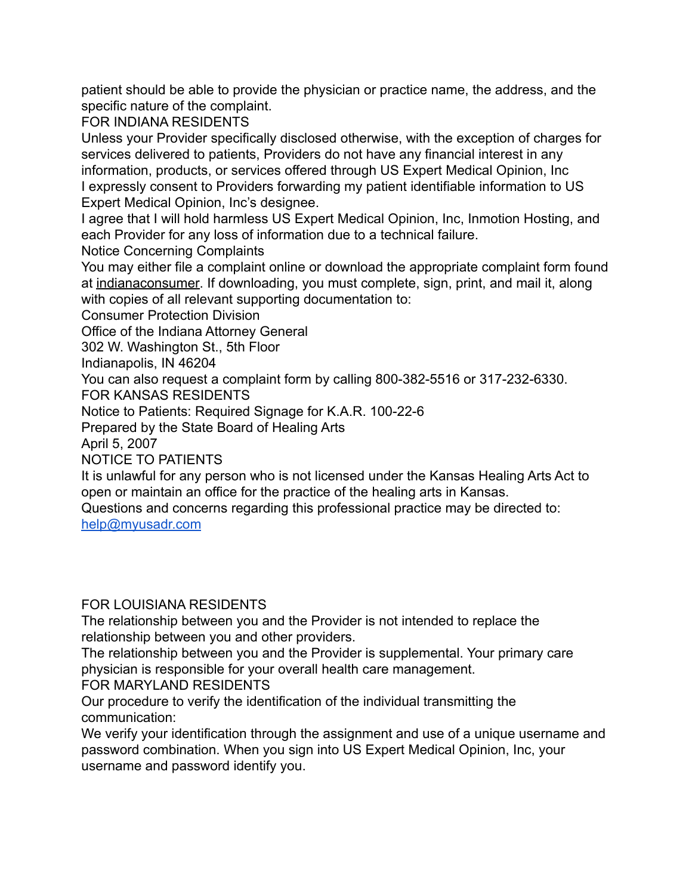patient should be able to provide the physician or practice name, the address, and the specific nature of the complaint.

FOR INDIANA RESIDENTS

Unless your Provider specifically disclosed otherwise, with the exception of charges for services delivered to patients, Providers do not have any financial interest in any information, products, or services offered through US Expert Medical Opinion, Inc I expressly consent to Providers forwarding my patient identifiable information to US Expert Medical Opinion, Inc's designee.

I agree that I will hold harmless US Expert Medical Opinion, Inc, Inmotion Hosting, and each Provider for any loss of information due to a technical failure.

Notice Concerning Complaints

You may either file a complaint online or download the appropriate complaint form found at [indianaconsumer.](http://www.in.gov/attorneygeneral/2426.htm) If downloading, you must complete, sign, print, and mail it, along with copies of all relevant supporting documentation to:

Consumer Protection Division

Office of the Indiana Attorney General

302 W. Washington St., 5th Floor

Indianapolis, IN 46204

You can also request a complaint form by calling 800-382-5516 or 317-232-6330.

FOR KANSAS RESIDENTS

Notice to Patients: Required Signage for K.A.R. 100-22-6

Prepared by the State Board of Healing Arts

April 5, 2007

NOTICE TO PATIENTS

It is unlawful for any person who is not licensed under the Kansas Healing Arts Act to open or maintain an office for the practice of the healing arts in Kansas.

Questions and concerns regarding this professional practice may be directed to: [help@myusadr.com](mailto:help@myusadr.com)

## FOR LOUISIANA RESIDENTS

The relationship between you and the Provider is not intended to replace the relationship between you and other providers.

The relationship between you and the Provider is supplemental. Your primary care physician is responsible for your overall health care management.

FOR MARYLAND RESIDENTS

Our procedure to verify the identification of the individual transmitting the communication:

We verify your identification through the assignment and use of a unique username and password combination. When you sign into US Expert Medical Opinion, Inc, your username and password identify you.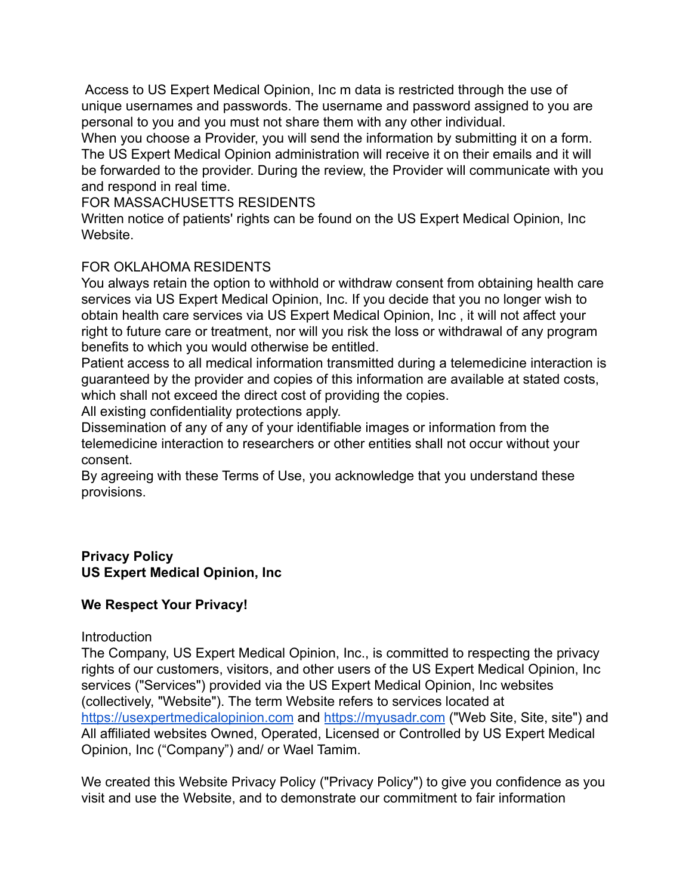Access to US Expert Medical Opinion, Inc m data is restricted through the use of unique usernames and passwords. The username and password assigned to you are personal to you and you must not share them with any other individual.

When you choose a Provider, you will send the information by submitting it on a form. The US Expert Medical Opinion administration will receive it on their emails and it will be forwarded to the provider. During the review, the Provider will communicate with you and respond in real time.

FOR MASSACHUSETTS RESIDENTS

Written notice of patients' rights can be found on the US Expert Medical Opinion, Inc **Website** 

### FOR OKLAHOMA RESIDENTS

You always retain the option to withhold or withdraw consent from obtaining health care services via US Expert Medical Opinion, Inc. If you decide that you no longer wish to obtain health care services via US Expert Medical Opinion, Inc , it will not affect your right to future care or treatment, nor will you risk the loss or withdrawal of any program benefits to which you would otherwise be entitled.

Patient access to all medical information transmitted during a telemedicine interaction is guaranteed by the provider and copies of this information are available at stated costs, which shall not exceed the direct cost of providing the copies.

All existing confidentiality protections apply.

Dissemination of any of any of your identifiable images or information from the telemedicine interaction to researchers or other entities shall not occur without your consent.

By agreeing with these Terms of Use, you acknowledge that you understand these provisions.

#### **Privacy Policy US Expert Medical Opinion, Inc**

## **We Respect Your Privacy!**

#### **Introduction**

The Company, US Expert Medical Opinion, Inc., is committed to respecting the privacy rights of our customers, visitors, and other users of the US Expert Medical Opinion, Inc services ("Services") provided via the US Expert Medical Opinion, Inc websites (collectively, "Website"). The term Website refers to services located at <https://usexpertmedicalopinion.com> and <https://myusadr.com> ("Web Site, Site, site") and All affiliated websites Owned, Operated, Licensed or Controlled by US Expert Medical Opinion, Inc ("Company") and/ or Wael Tamim.

We created this Website Privacy Policy ("Privacy Policy") to give you confidence as you visit and use the Website, and to demonstrate our commitment to fair information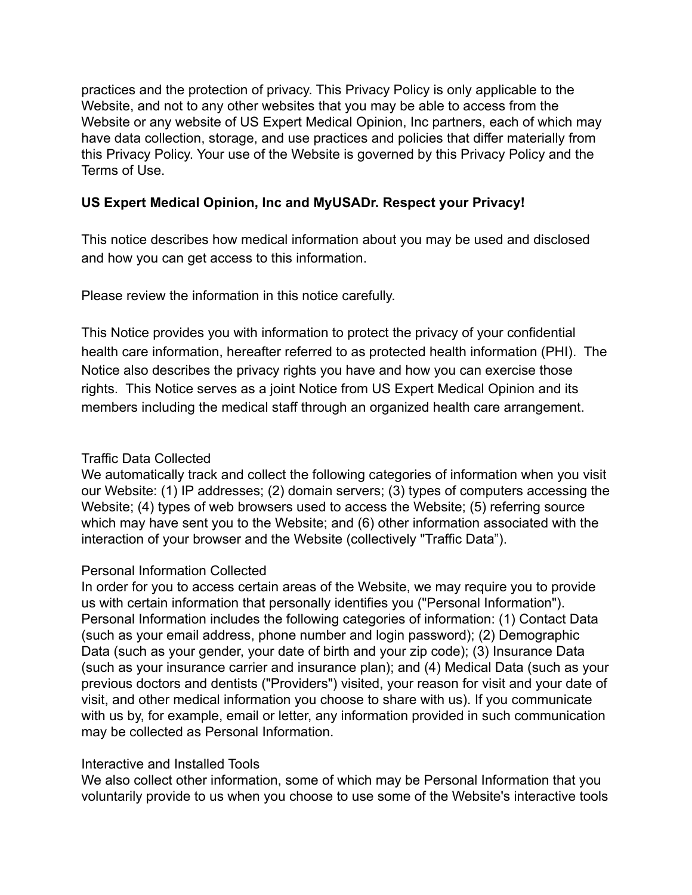practices and the protection of privacy. This Privacy Policy is only applicable to the Website, and not to any other websites that you may be able to access from the Website or any website of US Expert Medical Opinion, Inc partners, each of which may have data collection, storage, and use practices and policies that differ materially from this Privacy Policy. Your use of the Website is governed by this Privacy Policy and the Terms of Use.

## **US Expert Medical Opinion, Inc and MyUSADr. Respect your Privacy!**

This notice describes how medical information about you may be used and disclosed and how you can get access to this information.

Please review the information in this notice carefully.

This Notice provides you with information to protect the privacy of your confidential health care information, hereafter referred to as protected health information (PHI). The Notice also describes the privacy rights you have and how you can exercise those rights. This Notice serves as a joint Notice from US Expert Medical Opinion and its members including the medical staff through an organized health care arrangement.

## Traffic Data Collected

We automatically track and collect the following categories of information when you visit our Website: (1) IP addresses; (2) domain servers; (3) types of computers accessing the Website; (4) types of web browsers used to access the Website; (5) referring source which may have sent you to the Website; and (6) other information associated with the interaction of your browser and the Website (collectively "Traffic Data").

# Personal Information Collected

In order for you to access certain areas of the Website, we may require you to provide us with certain information that personally identifies you ("Personal Information"). Personal Information includes the following categories of information: (1) Contact Data (such as your email address, phone number and login password); (2) Demographic Data (such as your gender, your date of birth and your zip code); (3) Insurance Data (such as your insurance carrier and insurance plan); and (4) Medical Data (such as your previous doctors and dentists ("Providers") visited, your reason for visit and your date of visit, and other medical information you choose to share with us). If you communicate with us by, for example, email or letter, any information provided in such communication may be collected as Personal Information.

# Interactive and Installed Tools

We also collect other information, some of which may be Personal Information that you voluntarily provide to us when you choose to use some of the Website's interactive tools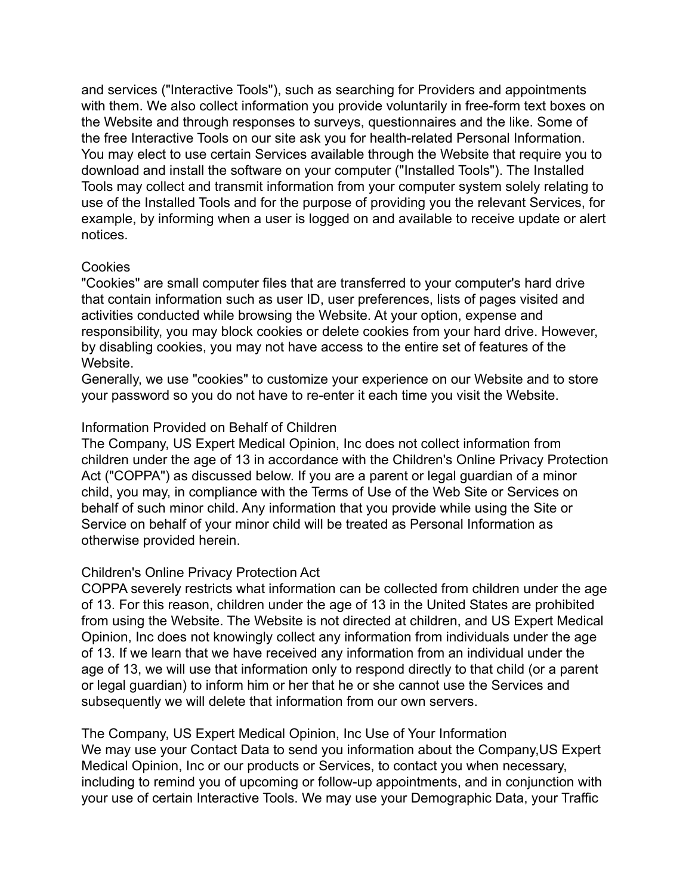and services ("Interactive Tools"), such as searching for Providers and appointments with them. We also collect information you provide voluntarily in free-form text boxes on the Website and through responses to surveys, questionnaires and the like. Some of the free Interactive Tools on our site ask you for health-related Personal Information. You may elect to use certain Services available through the Website that require you to download and install the software on your computer ("Installed Tools"). The Installed Tools may collect and transmit information from your computer system solely relating to use of the Installed Tools and for the purpose of providing you the relevant Services, for example, by informing when a user is logged on and available to receive update or alert notices.

#### **Cookies**

"Cookies" are small computer files that are transferred to your computer's hard drive that contain information such as user ID, user preferences, lists of pages visited and activities conducted while browsing the Website. At your option, expense and responsibility, you may block cookies or delete cookies from your hard drive. However, by disabling cookies, you may not have access to the entire set of features of the Website.

Generally, we use "cookies" to customize your experience on our Website and to store your password so you do not have to re-enter it each time you visit the Website.

#### Information Provided on Behalf of Children

The Company, US Expert Medical Opinion, Inc does not collect information from children under the age of 13 in accordance with the Children's Online Privacy Protection Act ("COPPA") as discussed below. If you are a parent or legal guardian of a minor child, you may, in compliance with the Terms of Use of the Web Site or Services on behalf of such minor child. Any information that you provide while using the Site or Service on behalf of your minor child will be treated as Personal Information as otherwise provided herein.

#### Children's Online Privacy Protection Act

COPPA severely restricts what information can be collected from children under the age of 13. For this reason, children under the age of 13 in the United States are prohibited from using the Website. The Website is not directed at children, and US Expert Medical Opinion, Inc does not knowingly collect any information from individuals under the age of 13. If we learn that we have received any information from an individual under the age of 13, we will use that information only to respond directly to that child (or a parent or legal guardian) to inform him or her that he or she cannot use the Services and subsequently we will delete that information from our own servers.

The Company, US Expert Medical Opinion, Inc Use of Your Information We may use your Contact Data to send you information about the Company,US Expert Medical Opinion, Inc or our products or Services, to contact you when necessary, including to remind you of upcoming or follow-up appointments, and in conjunction with your use of certain Interactive Tools. We may use your Demographic Data, your Traffic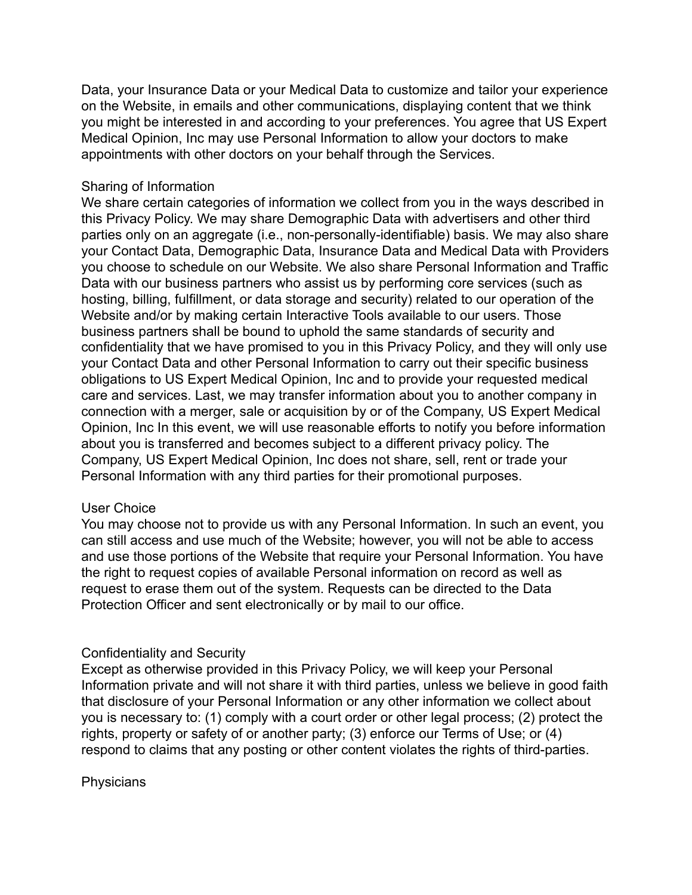Data, your Insurance Data or your Medical Data to customize and tailor your experience on the Website, in emails and other communications, displaying content that we think you might be interested in and according to your preferences. You agree that US Expert Medical Opinion, Inc may use Personal Information to allow your doctors to make appointments with other doctors on your behalf through the Services.

#### Sharing of Information

We share certain categories of information we collect from you in the ways described in this Privacy Policy. We may share Demographic Data with advertisers and other third parties only on an aggregate (i.e., non-personally-identifiable) basis. We may also share your Contact Data, Demographic Data, Insurance Data and Medical Data with Providers you choose to schedule on our Website. We also share Personal Information and Traffic Data with our business partners who assist us by performing core services (such as hosting, billing, fulfillment, or data storage and security) related to our operation of the Website and/or by making certain Interactive Tools available to our users. Those business partners shall be bound to uphold the same standards of security and confidentiality that we have promised to you in this Privacy Policy, and they will only use your Contact Data and other Personal Information to carry out their specific business obligations to US Expert Medical Opinion, Inc and to provide your requested medical care and services. Last, we may transfer information about you to another company in connection with a merger, sale or acquisition by or of the Company, US Expert Medical Opinion, Inc In this event, we will use reasonable efforts to notify you before information about you is transferred and becomes subject to a different privacy policy. The Company, US Expert Medical Opinion, Inc does not share, sell, rent or trade your Personal Information with any third parties for their promotional purposes.

#### User Choice

You may choose not to provide us with any Personal Information. In such an event, you can still access and use much of the Website; however, you will not be able to access and use those portions of the Website that require your Personal Information. You have the right to request copies of available Personal information on record as well as request to erase them out of the system. Requests can be directed to the Data Protection Officer and sent electronically or by mail to our office.

#### Confidentiality and Security

Except as otherwise provided in this Privacy Policy, we will keep your Personal Information private and will not share it with third parties, unless we believe in good faith that disclosure of your Personal Information or any other information we collect about you is necessary to: (1) comply with a court order or other legal process; (2) protect the rights, property or safety of or another party; (3) enforce our Terms of Use; or (4) respond to claims that any posting or other content violates the rights of third-parties.

#### **Physicians**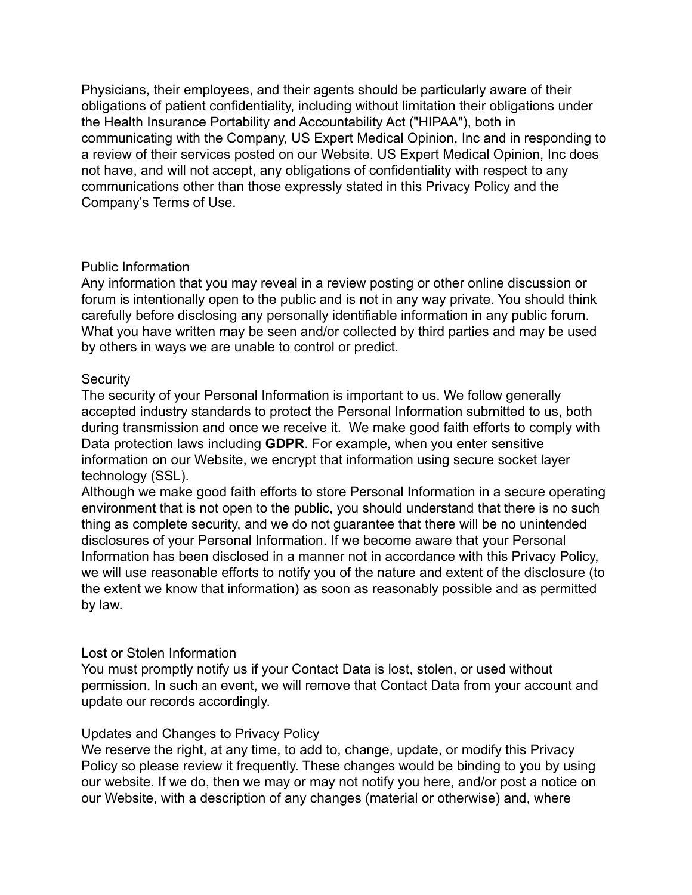Physicians, their employees, and their agents should be particularly aware of their obligations of patient confidentiality, including without limitation their obligations under the Health Insurance Portability and Accountability Act ("HIPAA"), both in communicating with the Company, US Expert Medical Opinion, Inc and in responding to a review of their services posted on our Website. US Expert Medical Opinion, Inc does not have, and will not accept, any obligations of confidentiality with respect to any communications other than those expressly stated in this Privacy Policy and the Company's Terms of Use.

#### Public Information

Any information that you may reveal in a review posting or other online discussion or forum is intentionally open to the public and is not in any way private. You should think carefully before disclosing any personally identifiable information in any public forum. What you have written may be seen and/or collected by third parties and may be used by others in ways we are unable to control or predict.

### **Security**

The security of your Personal Information is important to us. We follow generally accepted industry standards to protect the Personal Information submitted to us, both during transmission and once we receive it. We make good faith efforts to comply with Data protection laws including **GDPR**. For example, when you enter sensitive information on our Website, we encrypt that information using secure socket layer technology (SSL).

Although we make good faith efforts to store Personal Information in a secure operating environment that is not open to the public, you should understand that there is no such thing as complete security, and we do not guarantee that there will be no unintended disclosures of your Personal Information. If we become aware that your Personal Information has been disclosed in a manner not in accordance with this Privacy Policy, we will use reasonable efforts to notify you of the nature and extent of the disclosure (to the extent we know that information) as soon as reasonably possible and as permitted by law.

## Lost or Stolen Information

You must promptly notify us if your Contact Data is lost, stolen, or used without permission. In such an event, we will remove that Contact Data from your account and update our records accordingly.

## Updates and Changes to Privacy Policy

We reserve the right, at any time, to add to, change, update, or modify this Privacy Policy so please review it frequently. These changes would be binding to you by using our website. If we do, then we may or may not notify you here, and/or post a notice on our Website, with a description of any changes (material or otherwise) and, where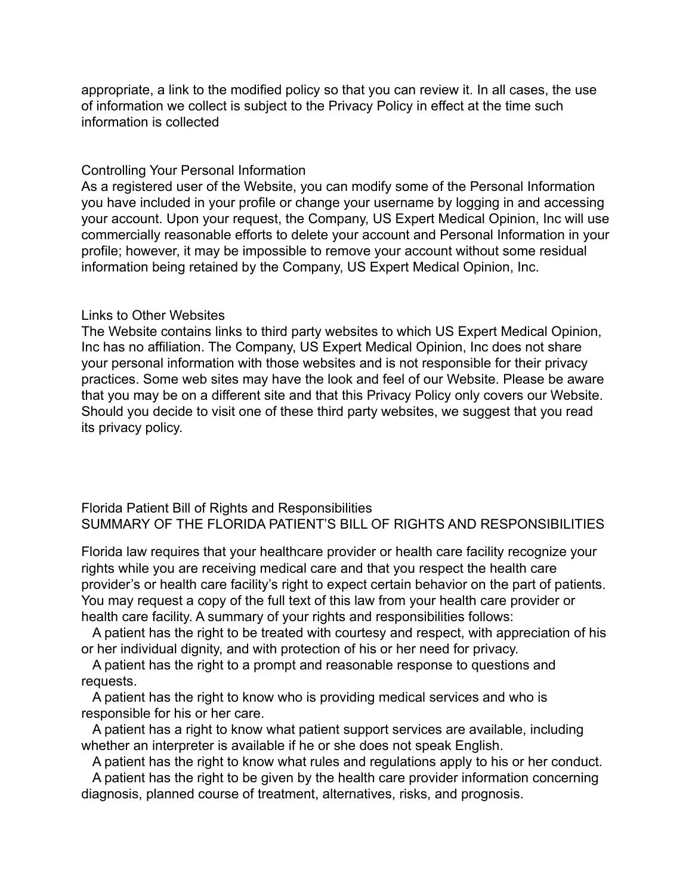appropriate, a link to the modified policy so that you can review it. In all cases, the use of information we collect is subject to the Privacy Policy in effect at the time such information is collected

#### Controlling Your Personal Information

As a registered user of the Website, you can modify some of the Personal Information you have included in your profile or change your username by logging in and accessing your account. Upon your request, the Company, US Expert Medical Opinion, Inc will use commercially reasonable efforts to delete your account and Personal Information in your profile; however, it may be impossible to remove your account without some residual information being retained by the Company, US Expert Medical Opinion, Inc.

#### Links to Other Websites

The Website contains links to third party websites to which US Expert Medical Opinion, Inc has no affiliation. The Company, US Expert Medical Opinion, Inc does not share your personal information with those websites and is not responsible for their privacy practices. Some web sites may have the look and feel of our Website. Please be aware that you may be on a different site and that this Privacy Policy only covers our Website. Should you decide to visit one of these third party websites, we suggest that you read its privacy policy.

Florida Patient Bill of Rights and Responsibilities SUMMARY OF THE FLORIDA PATIENT'S BILL OF RIGHTS AND RESPONSIBILITIES

Florida law requires that your healthcare provider or health care facility recognize your rights while you are receiving medical care and that you respect the health care provider's or health care facility's right to expect certain behavior on the part of patients. You may request a copy of the full text of this law from your health care provider or health care facility. A summary of your rights and responsibilities follows:

A patient has the right to be treated with courtesy and respect, with appreciation of his or her individual dignity, and with protection of his or her need for privacy.

A patient has the right to a prompt and reasonable response to questions and requests.

A patient has the right to know who is providing medical services and who is responsible for his or her care.

A patient has a right to know what patient support services are available, including whether an interpreter is available if he or she does not speak English.

A patient has the right to know what rules and regulations apply to his or her conduct.

A patient has the right to be given by the health care provider information concerning diagnosis, planned course of treatment, alternatives, risks, and prognosis.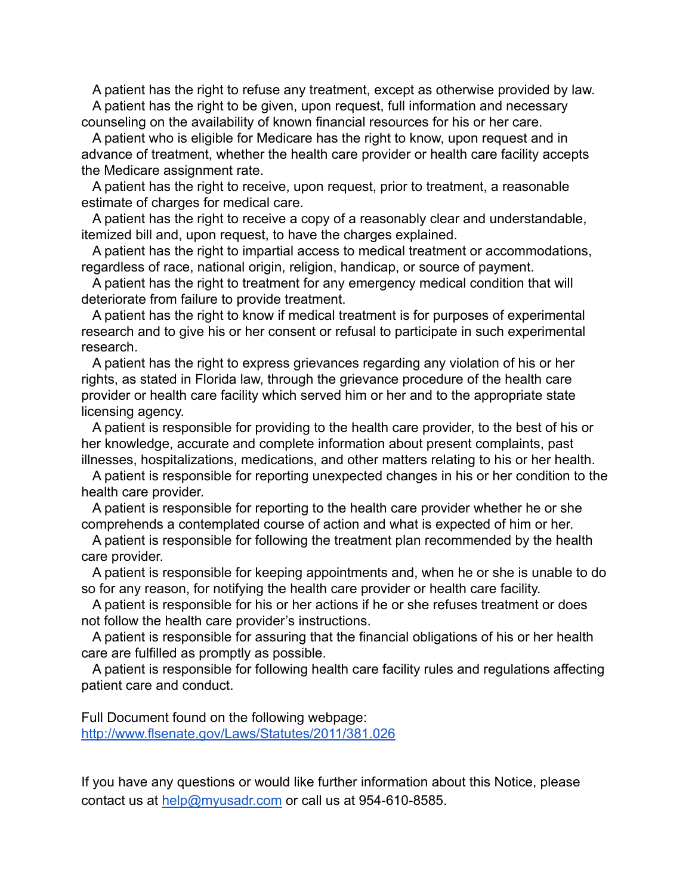A patient has the right to refuse any treatment, except as otherwise provided by law. A patient has the right to be given, upon request, full information and necessary counseling on the availability of known financial resources for his or her care.

A patient who is eligible for Medicare has the right to know, upon request and in advance of treatment, whether the health care provider or health care facility accepts the Medicare assignment rate.

A patient has the right to receive, upon request, prior to treatment, a reasonable estimate of charges for medical care.

A patient has the right to receive a copy of a reasonably clear and understandable, itemized bill and, upon request, to have the charges explained.

A patient has the right to impartial access to medical treatment or accommodations, regardless of race, national origin, religion, handicap, or source of payment.

A patient has the right to treatment for any emergency medical condition that will deteriorate from failure to provide treatment.

A patient has the right to know if medical treatment is for purposes of experimental research and to give his or her consent or refusal to participate in such experimental research.

A patient has the right to express grievances regarding any violation of his or her rights, as stated in Florida law, through the grievance procedure of the health care provider or health care facility which served him or her and to the appropriate state licensing agency.

A patient is responsible for providing to the health care provider, to the best of his or her knowledge, accurate and complete information about present complaints, past illnesses, hospitalizations, medications, and other matters relating to his or her health.

A patient is responsible for reporting unexpected changes in his or her condition to the health care provider.

A patient is responsible for reporting to the health care provider whether he or she comprehends a contemplated course of action and what is expected of him or her.

A patient is responsible for following the treatment plan recommended by the health care provider.

A patient is responsible for keeping appointments and, when he or she is unable to do so for any reason, for notifying the health care provider or health care facility.

A patient is responsible for his or her actions if he or she refuses treatment or does not follow the health care provider's instructions.

A patient is responsible for assuring that the financial obligations of his or her health care are fulfilled as promptly as possible.

A patient is responsible for following health care facility rules and regulations affecting patient care and conduct.

Full Document found on the following webpage: <http://www.flsenate.gov/Laws/Statutes/2011/381.026>

If you have any questions or would like further information about this Notice, please contact us at [help@myusadr.com](mailto:help@myusadr.com) or call us at 954-610-8585.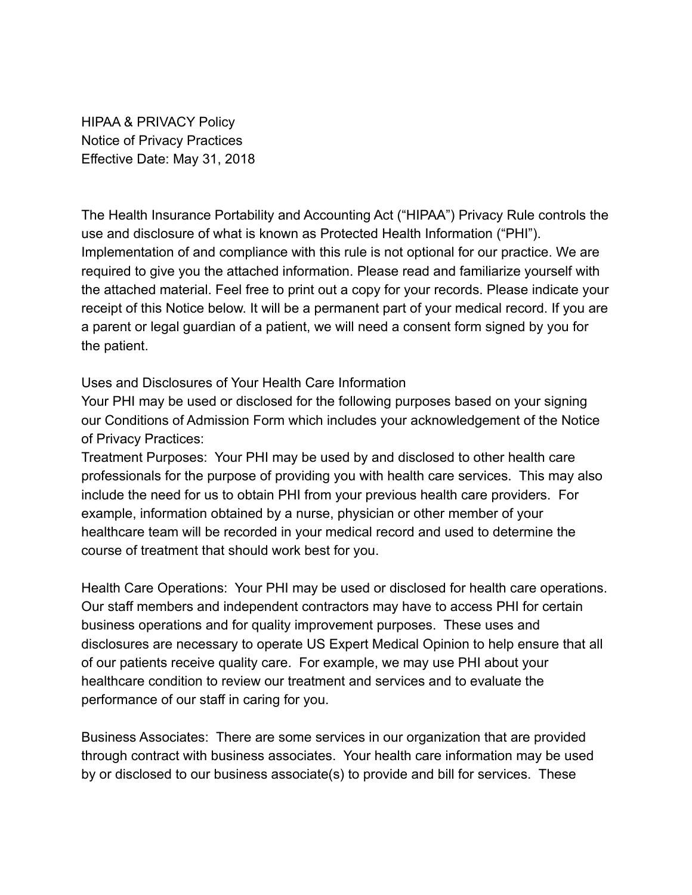HIPAA & PRIVACY Policy Notice of Privacy Practices Effective Date: May 31, 2018

The Health Insurance Portability and Accounting Act ("HIPAA") Privacy Rule controls the use and disclosure of what is known as Protected Health Information ("PHI"). Implementation of and compliance with this rule is not optional for our practice. We are required to give you the attached information. Please read and familiarize yourself with the attached material. Feel free to print out a copy for your records. Please indicate your receipt of this Notice below. It will be a permanent part of your medical record. If you are a parent or legal guardian of a patient, we will need a consent form signed by you for the patient.

Uses and Disclosures of Your Health Care Information

Your PHI may be used or disclosed for the following purposes based on your signing our Conditions of Admission Form which includes your acknowledgement of the Notice of Privacy Practices:

Treatment Purposes: Your PHI may be used by and disclosed to other health care professionals for the purpose of providing you with health care services. This may also include the need for us to obtain PHI from your previous health care providers. For example, information obtained by a nurse, physician or other member of your healthcare team will be recorded in your medical record and used to determine the course of treatment that should work best for you.

Health Care Operations: Your PHI may be used or disclosed for health care operations. Our staff members and independent contractors may have to access PHI for certain business operations and for quality improvement purposes. These uses and disclosures are necessary to operate US Expert Medical Opinion to help ensure that all of our patients receive quality care. For example, we may use PHI about your healthcare condition to review our treatment and services and to evaluate the performance of our staff in caring for you.

Business Associates: There are some services in our organization that are provided through contract with business associates. Your health care information may be used by or disclosed to our business associate(s) to provide and bill for services. These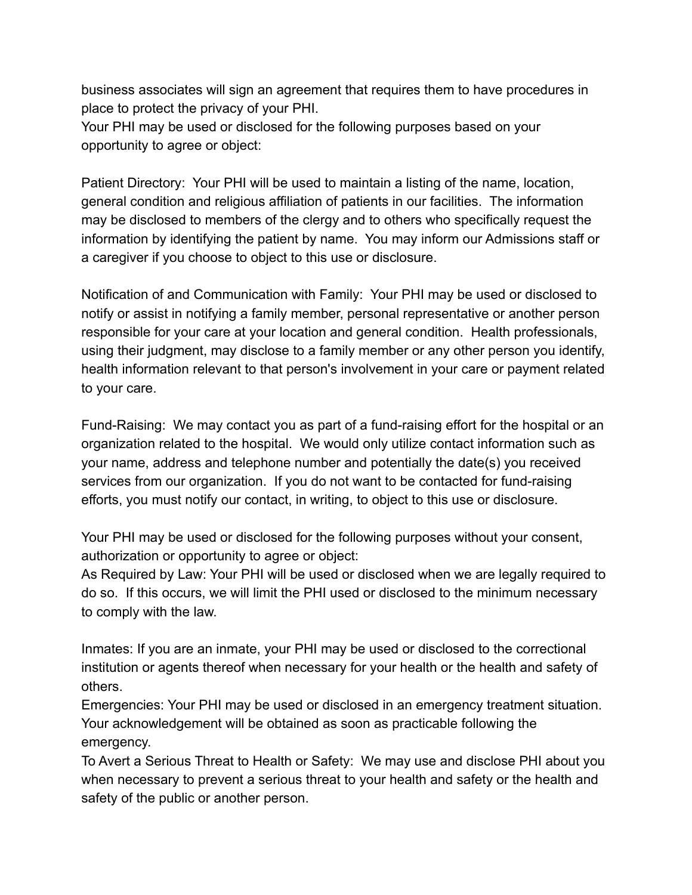business associates will sign an agreement that requires them to have procedures in place to protect the privacy of your PHI.

Your PHI may be used or disclosed for the following purposes based on your opportunity to agree or object:

Patient Directory: Your PHI will be used to maintain a listing of the name, location, general condition and religious affiliation of patients in our facilities. The information may be disclosed to members of the clergy and to others who specifically request the information by identifying the patient by name. You may inform our Admissions staff or a caregiver if you choose to object to this use or disclosure.

Notification of and Communication with Family: Your PHI may be used or disclosed to notify or assist in notifying a family member, personal representative or another person responsible for your care at your location and general condition. Health professionals, using their judgment, may disclose to a family member or any other person you identify, health information relevant to that person's involvement in your care or payment related to your care.

Fund-Raising: We may contact you as part of a fund-raising effort for the hospital or an organization related to the hospital. We would only utilize contact information such as your name, address and telephone number and potentially the date(s) you received services from our organization. If you do not want to be contacted for fund-raising efforts, you must notify our contact, in writing, to object to this use or disclosure.

Your PHI may be used or disclosed for the following purposes without your consent, authorization or opportunity to agree or object:

As Required by Law: Your PHI will be used or disclosed when we are legally required to do so. If this occurs, we will limit the PHI used or disclosed to the minimum necessary to comply with the law.

Inmates: If you are an inmate, your PHI may be used or disclosed to the correctional institution or agents thereof when necessary for your health or the health and safety of others.

Emergencies: Your PHI may be used or disclosed in an emergency treatment situation. Your acknowledgement will be obtained as soon as practicable following the emergency.

To Avert a Serious Threat to Health or Safety: We may use and disclose PHI about you when necessary to prevent a serious threat to your health and safety or the health and safety of the public or another person.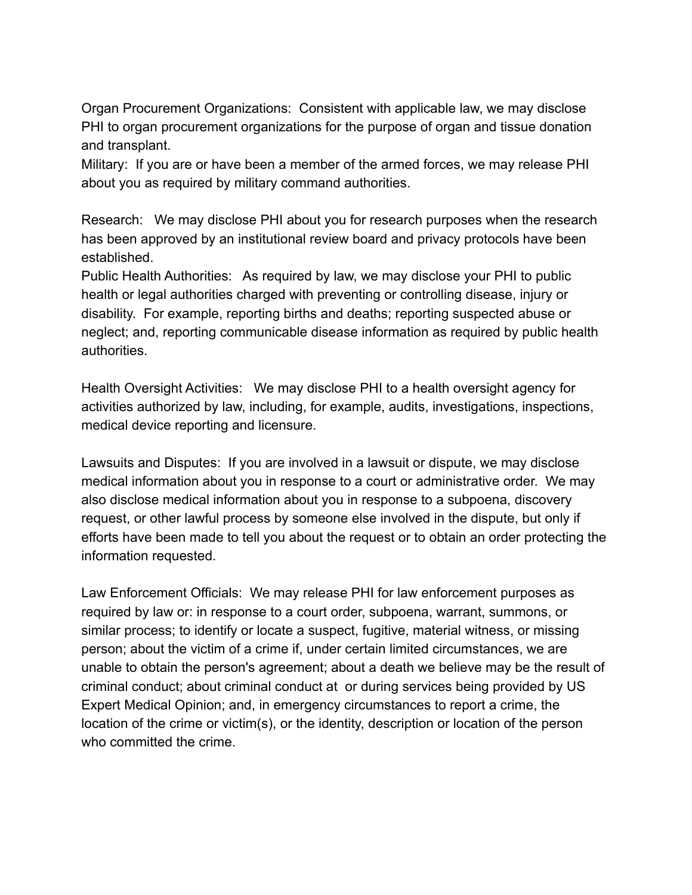Organ Procurement Organizations: Consistent with applicable law, we may disclose PHI to organ procurement organizations for the purpose of organ and tissue donation and transplant.

Military: If you are or have been a member of the armed forces, we may release PHI about you as required by military command authorities.

Research: We may disclose PHI about you for research purposes when the research has been approved by an institutional review board and privacy protocols have been established.

Public Health Authorities: As required by law, we may disclose your PHI to public health or legal authorities charged with preventing or controlling disease, injury or disability. For example, reporting births and deaths; reporting suspected abuse or neglect; and, reporting communicable disease information as required by public health authorities.

Health Oversight Activities: We may disclose PHI to a health oversight agency for activities authorized by law, including, for example, audits, investigations, inspections, medical device reporting and licensure.

Lawsuits and Disputes: If you are involved in a lawsuit or dispute, we may disclose medical information about you in response to a court or administrative order. We may also disclose medical information about you in response to a subpoena, discovery request, or other lawful process by someone else involved in the dispute, but only if efforts have been made to tell you about the request or to obtain an order protecting the information requested.

Law Enforcement Officials: We may release PHI for law enforcement purposes as required by law or: in response to a court order, subpoena, warrant, summons, or similar process; to identify or locate a suspect, fugitive, material witness, or missing person; about the victim of a crime if, under certain limited circumstances, we are unable to obtain the person's agreement; about a death we believe may be the result of criminal conduct; about criminal conduct at or during services being provided by US Expert Medical Opinion; and, in emergency circumstances to report a crime, the location of the crime or victim(s), or the identity, description or location of the person who committed the crime.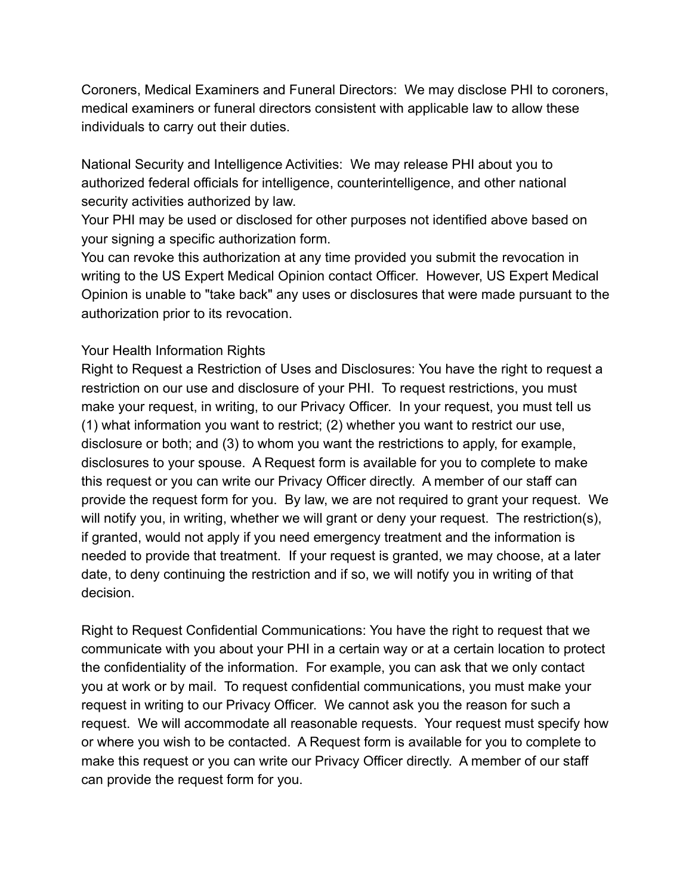Coroners, Medical Examiners and Funeral Directors: We may disclose PHI to coroners, medical examiners or funeral directors consistent with applicable law to allow these individuals to carry out their duties.

National Security and Intelligence Activities: We may release PHI about you to authorized federal officials for intelligence, counterintelligence, and other national security activities authorized by law.

Your PHI may be used or disclosed for other purposes not identified above based on your signing a specific authorization form.

You can revoke this authorization at any time provided you submit the revocation in writing to the US Expert Medical Opinion contact Officer. However, US Expert Medical Opinion is unable to "take back" any uses or disclosures that were made pursuant to the authorization prior to its revocation.

## Your Health Information Rights

Right to Request a Restriction of Uses and Disclosures: You have the right to request a restriction on our use and disclosure of your PHI. To request restrictions, you must make your request, in writing, to our Privacy Officer. In your request, you must tell us (1) what information you want to restrict; (2) whether you want to restrict our use, disclosure or both; and (3) to whom you want the restrictions to apply, for example, disclosures to your spouse. A Request form is available for you to complete to make this request or you can write our Privacy Officer directly. A member of our staff can provide the request form for you. By law, we are not required to grant your request. We will notify you, in writing, whether we will grant or deny your request. The restriction(s), if granted, would not apply if you need emergency treatment and the information is needed to provide that treatment. If your request is granted, we may choose, at a later date, to deny continuing the restriction and if so, we will notify you in writing of that decision.

Right to Request Confidential Communications: You have the right to request that we communicate with you about your PHI in a certain way or at a certain location to protect the confidentiality of the information. For example, you can ask that we only contact you at work or by mail. To request confidential communications, you must make your request in writing to our Privacy Officer. We cannot ask you the reason for such a request. We will accommodate all reasonable requests. Your request must specify how or where you wish to be contacted. A Request form is available for you to complete to make this request or you can write our Privacy Officer directly. A member of our staff can provide the request form for you.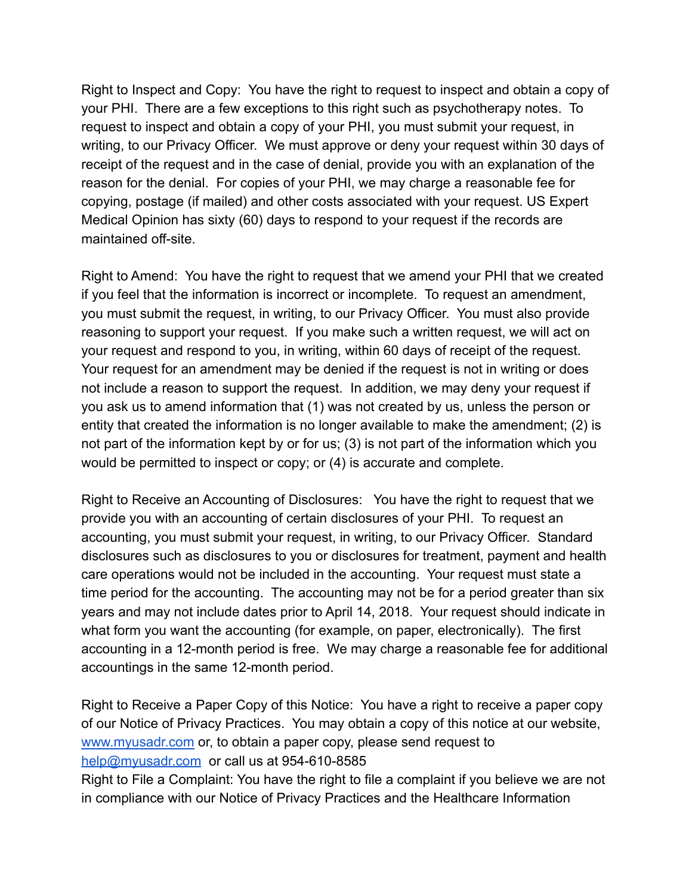Right to Inspect and Copy: You have the right to request to inspect and obtain a copy of your PHI. There are a few exceptions to this right such as psychotherapy notes. To request to inspect and obtain a copy of your PHI, you must submit your request, in writing, to our Privacy Officer. We must approve or deny your request within 30 days of receipt of the request and in the case of denial, provide you with an explanation of the reason for the denial. For copies of your PHI, we may charge a reasonable fee for copying, postage (if mailed) and other costs associated with your request. US Expert Medical Opinion has sixty (60) days to respond to your request if the records are maintained off-site.

Right to Amend: You have the right to request that we amend your PHI that we created if you feel that the information is incorrect or incomplete. To request an amendment, you must submit the request, in writing, to our Privacy Officer. You must also provide reasoning to support your request. If you make such a written request, we will act on your request and respond to you, in writing, within 60 days of receipt of the request. Your request for an amendment may be denied if the request is not in writing or does not include a reason to support the request. In addition, we may deny your request if you ask us to amend information that (1) was not created by us, unless the person or entity that created the information is no longer available to make the amendment; (2) is not part of the information kept by or for us; (3) is not part of the information which you would be permitted to inspect or copy; or (4) is accurate and complete.

Right to Receive an Accounting of Disclosures: You have the right to request that we provide you with an accounting of certain disclosures of your PHI. To request an accounting, you must submit your request, in writing, to our Privacy Officer. Standard disclosures such as disclosures to you or disclosures for treatment, payment and health care operations would not be included in the accounting. Your request must state a time period for the accounting. The accounting may not be for a period greater than six years and may not include dates prior to April 14, 2018. Your request should indicate in what form you want the accounting (for example, on paper, electronically). The first accounting in a 12-month period is free. We may charge a reasonable fee for additional accountings in the same 12-month period.

Right to Receive a Paper Copy of this Notice: You have a right to receive a paper copy of our Notice of Privacy Practices. You may obtain a copy of this notice at our website, [www.myusadr.com](http://www.myusadr.com) or, to obtain a paper copy, please send request to [help@myusadr.com](mailto:help@myusadr.com) or call us at 954-610-8585

Right to File a Complaint: You have the right to file a complaint if you believe we are not in compliance with our Notice of Privacy Practices and the Healthcare Information